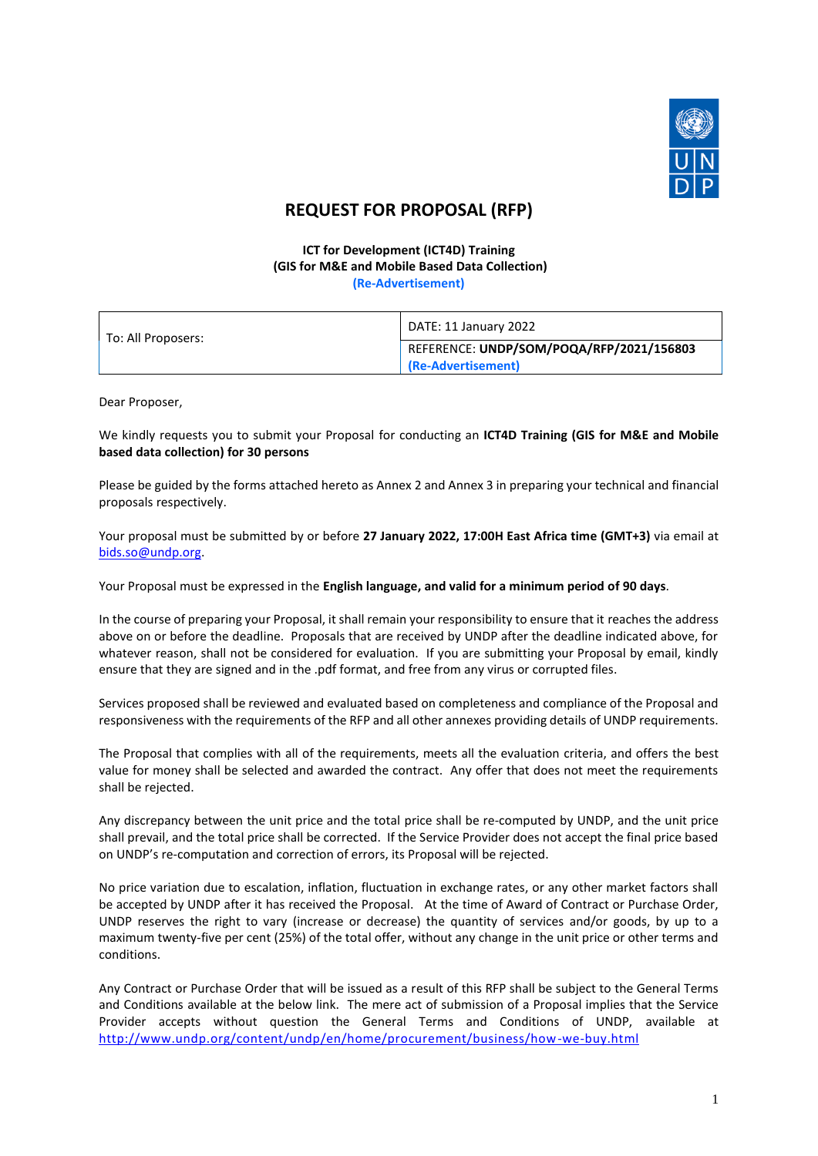

# **REQUEST FOR PROPOSAL (RFP)**

#### **ICT for Development (ICT4D) Training (GIS for M&E and Mobile Based Data Collection) (Re-Advertisement)**

| <b>INC-MUVELUSCHICILI</b> |  |
|---------------------------|--|
|                           |  |
|                           |  |

| To: All Proposers: | DATE: 11 January 2022                                          |
|--------------------|----------------------------------------------------------------|
|                    | REFERENCE: UNDP/SOM/POQA/RFP/2021/156803<br>(Re-Advertisement) |

Dear Proposer,

We kindly requests you to submit your Proposal for conducting an **ICT4D Training (GIS for M&E and Mobile based data collection) for 30 persons**

Please be guided by the forms attached hereto as Annex 2 and Annex 3 in preparing your technical and financial proposals respectively.

Your proposal must be submitted by or before **27 January 2022, 17:00H East Africa time (GMT+3)** via email at [bids.so@undp.org.](mailto:bids.so@undp.org)

Your Proposal must be expressed in the **English language, and valid for a minimum period of 90 days**.

In the course of preparing your Proposal, it shall remain your responsibility to ensure that it reaches the address above on or before the deadline. Proposals that are received by UNDP after the deadline indicated above, for whatever reason, shall not be considered for evaluation. If you are submitting your Proposal by email, kindly ensure that they are signed and in the .pdf format, and free from any virus or corrupted files.

Services proposed shall be reviewed and evaluated based on completeness and compliance of the Proposal and responsiveness with the requirements of the RFP and all other annexes providing details of UNDP requirements.

The Proposal that complies with all of the requirements, meets all the evaluation criteria, and offers the best value for money shall be selected and awarded the contract. Any offer that does not meet the requirements shall be rejected.

Any discrepancy between the unit price and the total price shall be re-computed by UNDP, and the unit price shall prevail, and the total price shall be corrected. If the Service Provider does not accept the final price based on UNDP's re-computation and correction of errors, its Proposal will be rejected.

No price variation due to escalation, inflation, fluctuation in exchange rates, or any other market factors shall be accepted by UNDP after it has received the Proposal. At the time of Award of Contract or Purchase Order, UNDP reserves the right to vary (increase or decrease) the quantity of services and/or goods, by up to a maximum twenty-five per cent (25%) of the total offer, without any change in the unit price or other terms and conditions.

Any Contract or Purchase Order that will be issued as a result of this RFP shall be subject to the General Terms and Conditions available at the below link. The mere act of submission of a Proposal implies that the Service Provider accepts without question the General Terms and Conditions of UNDP, available at <http://www.undp.org/content/undp/en/home/procurement/business/how-we-buy.html>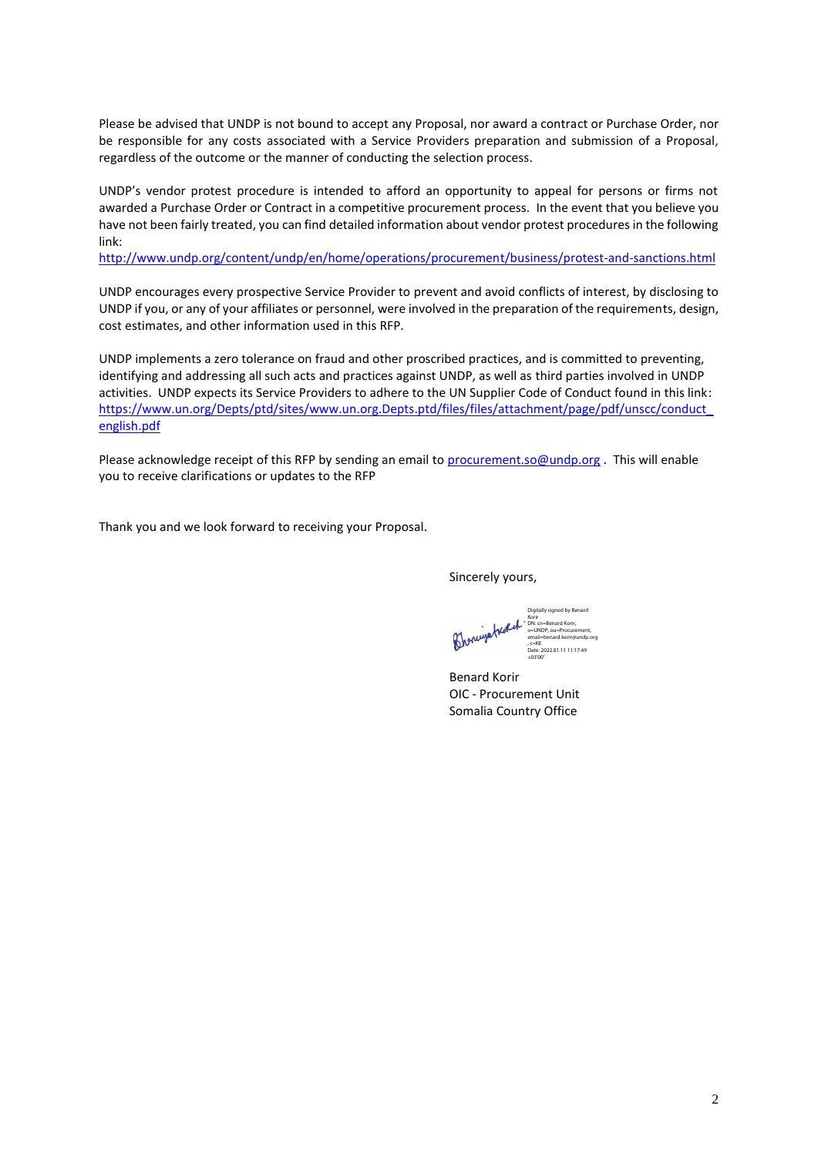Please be advised that UNDP is not bound to accept any Proposal, nor award a contract or Purchase Order, nor be responsible for any costs associated with a Service Providers preparation and submission of a Proposal, regardless of the outcome or the manner of conducting the selection process.

UNDP's vendor protest procedure is intended to afford an opportunity to appeal for persons or firms not awarded a Purchase Order or Contract in a competitive procurement process. In the event that you believe you have not been fairly treated, you can find detailed information about vendor protest procedures in the following link:

<http://www.undp.org/content/undp/en/home/operations/procurement/business/protest-and-sanctions.html>

UNDP encourages every prospective Service Provider to prevent and avoid conflicts of interest, by disclosing to UNDP if you, or any of your affiliates or personnel, were involved in the preparation of the requirements, design, cost estimates, and other information used in this RFP.

UNDP implements a zero tolerance on fraud and other proscribed practices, and is committed to preventing, identifying and addressing all such acts and practices against UNDP, as well as third parties involved in UNDP activities. UNDP expects its Service Providers to adhere to the UN Supplier Code of Conduct found in this link: [https://www.un.org/Depts/ptd/sites/www.un.org.Depts.ptd/files/files/attachment/page/pdf/unscc/conduct\\_](https://www.un.org/Depts/ptd/sites/www.un.org.Depts.ptd/files/files/attachment/page/pdf/unscc/conduct_english.pdf) [english.pdf](https://www.un.org/Depts/ptd/sites/www.un.org.Depts.ptd/files/files/attachment/page/pdf/unscc/conduct_english.pdf)

Please acknowledge receipt of this RFP by sending an email to [procurement.so@undp.org](mailto:procurement.so@undp.org). This will enable you to receive clarifications or updates to the RFP

Thank you and we look forward to receiving your Proposal.

Sincerely yours,

Digitally signed by Benard Broningatroph: Korir DN: cn=Benard Korir, o=UNDP, ou=Procurement, email=benard.korir@undp.org , c=KE Date: 2022.01.11 11:17:49 +03'00'

Benard Korir OIC - Procurement Unit Somalia Country Office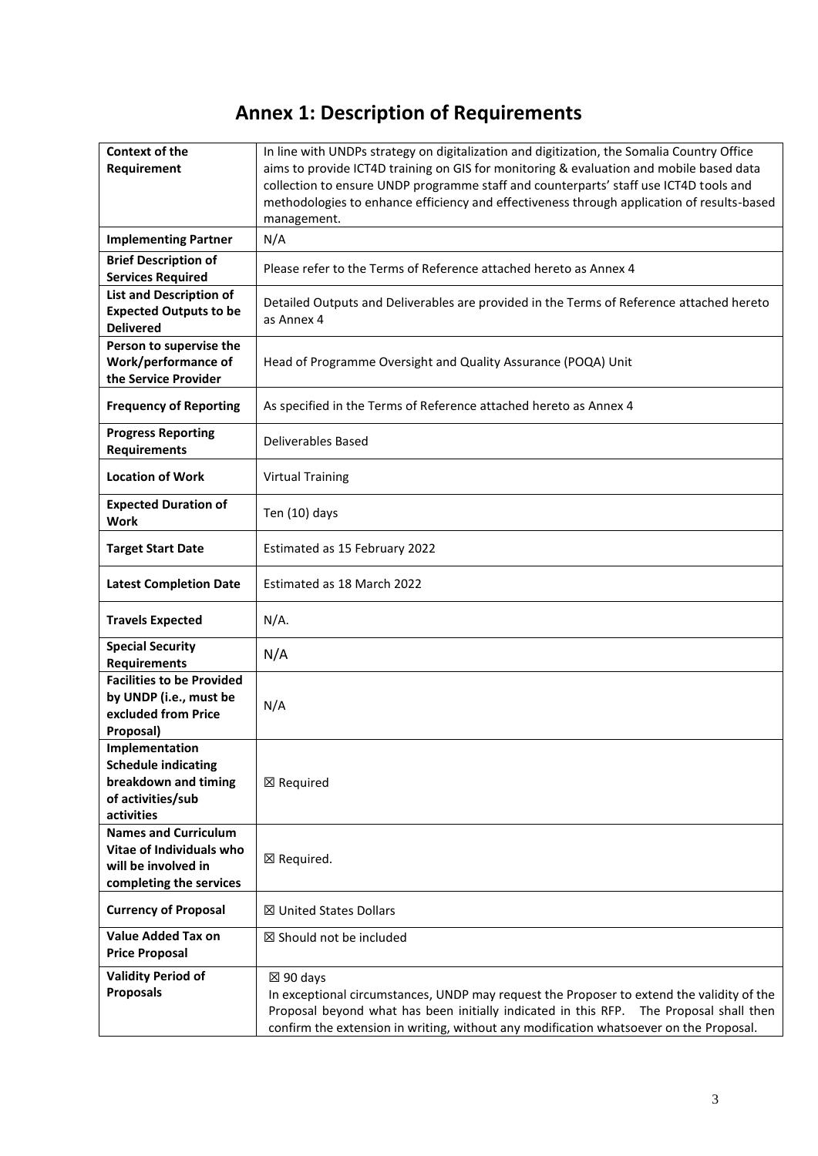# **Annex 1: Description of Requirements**

| <b>Context of the</b>            | In line with UNDPs strategy on digitalization and digitization, the Somalia Country Office |
|----------------------------------|--------------------------------------------------------------------------------------------|
| Requirement                      | aims to provide ICT4D training on GIS for monitoring & evaluation and mobile based data    |
|                                  | collection to ensure UNDP programme staff and counterparts' staff use ICT4D tools and      |
|                                  | methodologies to enhance efficiency and effectiveness through application of results-based |
|                                  | management.                                                                                |
| <b>Implementing Partner</b>      | N/A                                                                                        |
| <b>Brief Description of</b>      |                                                                                            |
| <b>Services Required</b>         | Please refer to the Terms of Reference attached hereto as Annex 4                          |
| <b>List and Description of</b>   | Detailed Outputs and Deliverables are provided in the Terms of Reference attached hereto   |
| <b>Expected Outputs to be</b>    | as Annex 4                                                                                 |
| <b>Delivered</b>                 |                                                                                            |
| Person to supervise the          |                                                                                            |
| Work/performance of              | Head of Programme Oversight and Quality Assurance (POQA) Unit                              |
| the Service Provider             |                                                                                            |
| <b>Frequency of Reporting</b>    | As specified in the Terms of Reference attached hereto as Annex 4                          |
|                                  |                                                                                            |
| <b>Progress Reporting</b>        | Deliverables Based                                                                         |
| <b>Requirements</b>              |                                                                                            |
| <b>Location of Work</b>          | <b>Virtual Training</b>                                                                    |
| <b>Expected Duration of</b>      |                                                                                            |
| <b>Work</b>                      | Ten (10) days                                                                              |
|                                  |                                                                                            |
| <b>Target Start Date</b>         | Estimated as 15 February 2022                                                              |
| <b>Latest Completion Date</b>    | Estimated as 18 March 2022                                                                 |
|                                  |                                                                                            |
| <b>Travels Expected</b>          | $N/A$ .                                                                                    |
| <b>Special Security</b>          | N/A                                                                                        |
| <b>Requirements</b>              |                                                                                            |
| <b>Facilities to be Provided</b> |                                                                                            |
| by UNDP (i.e., must be           | N/A                                                                                        |
| excluded from Price              |                                                                                            |
| Proposal)                        |                                                                                            |
| Implementation                   |                                                                                            |
| <b>Schedule indicating</b>       |                                                                                            |
| breakdown and timing             | $\boxtimes$ Required                                                                       |
| of activities/sub                |                                                                                            |
| activities                       |                                                                                            |
| <b>Names and Curriculum</b>      |                                                                                            |
| Vitae of Individuals who         | $\boxtimes$ Required.                                                                      |
| will be involved in              |                                                                                            |
| completing the services          |                                                                                            |
| <b>Currency of Proposal</b>      | <b>⊠ United States Dollars</b>                                                             |
| <b>Value Added Tax on</b>        | $\boxtimes$ Should not be included                                                         |
| <b>Price Proposal</b>            |                                                                                            |
| <b>Validity Period of</b>        | $\boxtimes$ 90 days                                                                        |
| <b>Proposals</b>                 | In exceptional circumstances, UNDP may request the Proposer to extend the validity of the  |
|                                  | Proposal beyond what has been initially indicated in this RFP. The Proposal shall then     |
|                                  | confirm the extension in writing, without any modification whatsoever on the Proposal.     |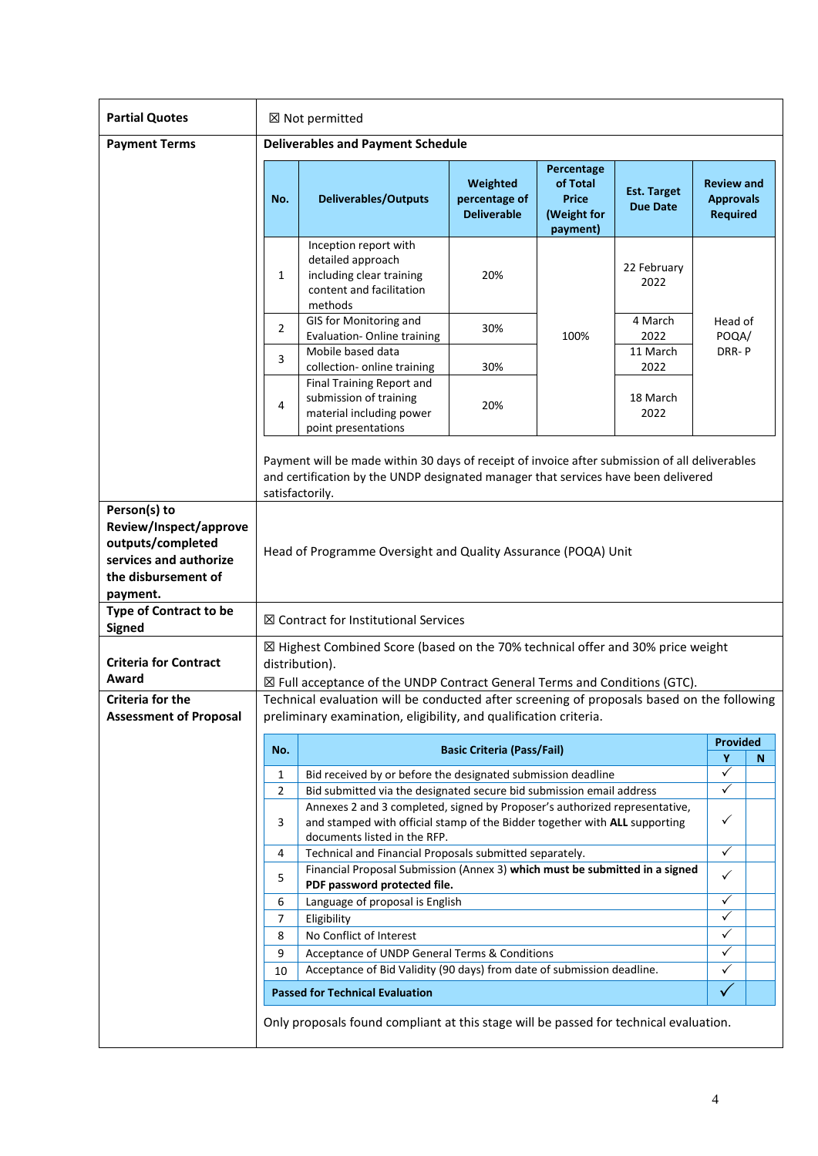| <b>Partial Quotes</b>                                                                                                    | ⊠ Not permitted                                                                                                                                                                                                                                                              |                                                                                                                                                                                                         |                                                 |                                                                   |                                       |                                                          |   |
|--------------------------------------------------------------------------------------------------------------------------|------------------------------------------------------------------------------------------------------------------------------------------------------------------------------------------------------------------------------------------------------------------------------|---------------------------------------------------------------------------------------------------------------------------------------------------------------------------------------------------------|-------------------------------------------------|-------------------------------------------------------------------|---------------------------------------|----------------------------------------------------------|---|
| <b>Payment Terms</b>                                                                                                     | <b>Deliverables and Payment Schedule</b>                                                                                                                                                                                                                                     |                                                                                                                                                                                                         |                                                 |                                                                   |                                       |                                                          |   |
|                                                                                                                          | No.                                                                                                                                                                                                                                                                          | <b>Deliverables/Outputs</b>                                                                                                                                                                             | Weighted<br>percentage of<br><b>Deliverable</b> | Percentage<br>of Total<br><b>Price</b><br>(Weight for<br>payment) | <b>Est. Target</b><br><b>Due Date</b> | <b>Review and</b><br><b>Approvals</b><br><b>Required</b> |   |
|                                                                                                                          | 1                                                                                                                                                                                                                                                                            | Inception report with<br>detailed approach<br>including clear training<br>content and facilitation<br>methods                                                                                           | 20%                                             |                                                                   | 22 February<br>2022                   |                                                          |   |
|                                                                                                                          | 2                                                                                                                                                                                                                                                                            | GIS for Monitoring and<br>Evaluation- Online training<br>Mobile based data                                                                                                                              | 30%                                             | 100%                                                              | 4 March<br>2022<br>11 March           | Head of<br>POQA/<br>DRR-P                                |   |
|                                                                                                                          | 3                                                                                                                                                                                                                                                                            | collection- online training                                                                                                                                                                             | 30%                                             |                                                                   | 2022                                  |                                                          |   |
|                                                                                                                          | Final Training Report and<br>submission of training<br>4<br>20%<br>material including power<br>point presentations                                                                                                                                                           |                                                                                                                                                                                                         | 18 March<br>2022                                |                                                                   |                                       |                                                          |   |
|                                                                                                                          |                                                                                                                                                                                                                                                                              | Payment will be made within 30 days of receipt of invoice after submission of all deliverables<br>and certification by the UNDP designated manager that services have been delivered<br>satisfactorily. |                                                 |                                                                   |                                       |                                                          |   |
| Person(s) to<br>Review/Inspect/approve<br>outputs/completed<br>services and authorize<br>the disbursement of<br>payment. | Head of Programme Oversight and Quality Assurance (POQA) Unit                                                                                                                                                                                                                |                                                                                                                                                                                                         |                                                 |                                                                   |                                       |                                                          |   |
| <b>Type of Contract to be</b><br>Signed                                                                                  |                                                                                                                                                                                                                                                                              | ⊠ Contract for Institutional Services                                                                                                                                                                   |                                                 |                                                                   |                                       |                                                          |   |
| <b>Criteria for Contract</b><br>Award                                                                                    |                                                                                                                                                                                                                                                                              | ⊠ Highest Combined Score (based on the 70% technical offer and 30% price weight<br>distribution).<br>$\boxtimes$ Full acceptance of the UNDP Contract General Terms and Conditions (GTC).               |                                                 |                                                                   |                                       |                                                          |   |
| Criteria for the<br><b>Assessment of Proposal</b>                                                                        | Technical evaluation will be conducted after screening of proposals based on the following<br>preliminary examination, eligibility, and qualification criteria.                                                                                                              |                                                                                                                                                                                                         |                                                 |                                                                   |                                       |                                                          |   |
|                                                                                                                          | No.                                                                                                                                                                                                                                                                          |                                                                                                                                                                                                         | <b>Basic Criteria (Pass/Fail)</b>               |                                                                   |                                       | <b>Provided</b>                                          |   |
|                                                                                                                          |                                                                                                                                                                                                                                                                              |                                                                                                                                                                                                         |                                                 |                                                                   |                                       | Y                                                        | N |
|                                                                                                                          | 1                                                                                                                                                                                                                                                                            | Bid received by or before the designated submission deadline                                                                                                                                            |                                                 |                                                                   |                                       | $\checkmark$                                             |   |
|                                                                                                                          | $\checkmark$<br>Bid submitted via the designated secure bid submission email address<br>$\overline{2}$<br>Annexes 2 and 3 completed, signed by Proposer's authorized representative,<br>✓<br>and stamped with official stamp of the Bidder together with ALL supporting<br>3 |                                                                                                                                                                                                         |                                                 |                                                                   |                                       |                                                          |   |
|                                                                                                                          | documents listed in the RFP.                                                                                                                                                                                                                                                 |                                                                                                                                                                                                         |                                                 |                                                                   |                                       |                                                          |   |
|                                                                                                                          | $\overline{\checkmark}$<br>Technical and Financial Proposals submitted separately.<br>4                                                                                                                                                                                      |                                                                                                                                                                                                         |                                                 |                                                                   |                                       |                                                          |   |
|                                                                                                                          | Financial Proposal Submission (Annex 3) which must be submitted in a signed<br>✓<br>5<br>PDF password protected file.                                                                                                                                                        |                                                                                                                                                                                                         |                                                 |                                                                   |                                       |                                                          |   |
|                                                                                                                          | Language of proposal is English<br>6                                                                                                                                                                                                                                         |                                                                                                                                                                                                         |                                                 |                                                                   | $\checkmark$                          |                                                          |   |
|                                                                                                                          |                                                                                                                                                                                                                                                                              | 7<br>Eligibility                                                                                                                                                                                        |                                                 |                                                                   |                                       | $\checkmark$                                             |   |
|                                                                                                                          |                                                                                                                                                                                                                                                                              | No Conflict of Interest<br>8                                                                                                                                                                            |                                                 |                                                                   |                                       | $\checkmark$                                             |   |
|                                                                                                                          |                                                                                                                                                                                                                                                                              | $\checkmark$<br>Acceptance of UNDP General Terms & Conditions<br>9                                                                                                                                      |                                                 |                                                                   |                                       |                                                          |   |
|                                                                                                                          | Acceptance of Bid Validity (90 days) from date of submission deadline.<br>✓<br>10<br>$\checkmark$                                                                                                                                                                            |                                                                                                                                                                                                         |                                                 |                                                                   |                                       |                                                          |   |
|                                                                                                                          |                                                                                                                                                                                                                                                                              | <b>Passed for Technical Evaluation</b>                                                                                                                                                                  |                                                 |                                                                   |                                       |                                                          |   |
|                                                                                                                          | Only proposals found compliant at this stage will be passed for technical evaluation.                                                                                                                                                                                        |                                                                                                                                                                                                         |                                                 |                                                                   |                                       |                                                          |   |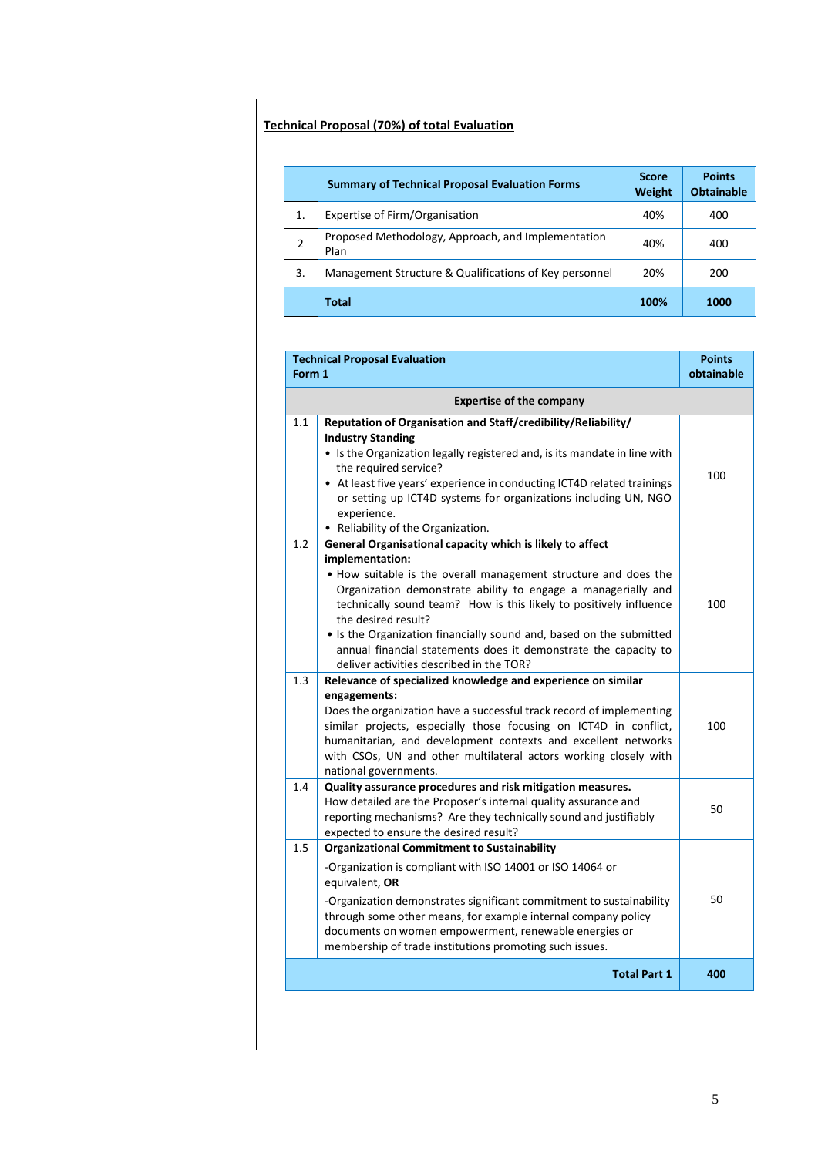# **Technical Proposal (70%) of total Evaluation**

|    | <b>Summary of Technical Proposal Evaluation Forms</b>      | <b>Score</b><br>Weight | <b>Points</b><br><b>Obtainable</b> |
|----|------------------------------------------------------------|------------------------|------------------------------------|
| 1. | Expertise of Firm/Organisation                             | 40%                    | 400                                |
| 2  | Proposed Methodology, Approach, and Implementation<br>Plan | 40%                    | 400                                |
| 3. | Management Structure & Qualifications of Key personnel     | 20%                    | 200                                |
|    | <b>Total</b>                                               | 100%                   | 1000                               |

|     | <b>Expertise of the company</b>                                                                                                                                                                                                                                                                                                                                                                                                                                                                     |     |
|-----|-----------------------------------------------------------------------------------------------------------------------------------------------------------------------------------------------------------------------------------------------------------------------------------------------------------------------------------------------------------------------------------------------------------------------------------------------------------------------------------------------------|-----|
| 1.1 | Reputation of Organisation and Staff/credibility/Reliability/<br><b>Industry Standing</b><br>• Is the Organization legally registered and, is its mandate in line with<br>the required service?<br>• At least five years' experience in conducting ICT4D related trainings<br>or setting up ICT4D systems for organizations including UN, NGO<br>experience.<br>• Reliability of the Organization.                                                                                                  | 100 |
| 1.2 | General Organisational capacity which is likely to affect<br>implementation:<br>• How suitable is the overall management structure and does the<br>Organization demonstrate ability to engage a managerially and<br>technically sound team? How is this likely to positively influence<br>the desired result?<br>• Is the Organization financially sound and, based on the submitted<br>annual financial statements does it demonstrate the capacity to<br>deliver activities described in the TOR? | 100 |
| 1.3 | Relevance of specialized knowledge and experience on similar<br>engagements:<br>Does the organization have a successful track record of implementing<br>similar projects, especially those focusing on ICT4D in conflict,<br>humanitarian, and development contexts and excellent networks<br>with CSOs, UN and other multilateral actors working closely with<br>national governments.                                                                                                             | 100 |
| 1.4 | Quality assurance procedures and risk mitigation measures.<br>How detailed are the Proposer's internal quality assurance and<br>reporting mechanisms? Are they technically sound and justifiably<br>expected to ensure the desired result?                                                                                                                                                                                                                                                          | 50  |
| 1.5 | <b>Organizational Commitment to Sustainability</b><br>-Organization is compliant with ISO 14001 or ISO 14064 or<br>equivalent, OR<br>-Organization demonstrates significant commitment to sustainability<br>through some other means, for example internal company policy<br>documents on women empowerment, renewable energies or<br>membership of trade institutions promoting such issues.                                                                                                       | 50  |
|     | <b>Total Part 1</b>                                                                                                                                                                                                                                                                                                                                                                                                                                                                                 | 400 |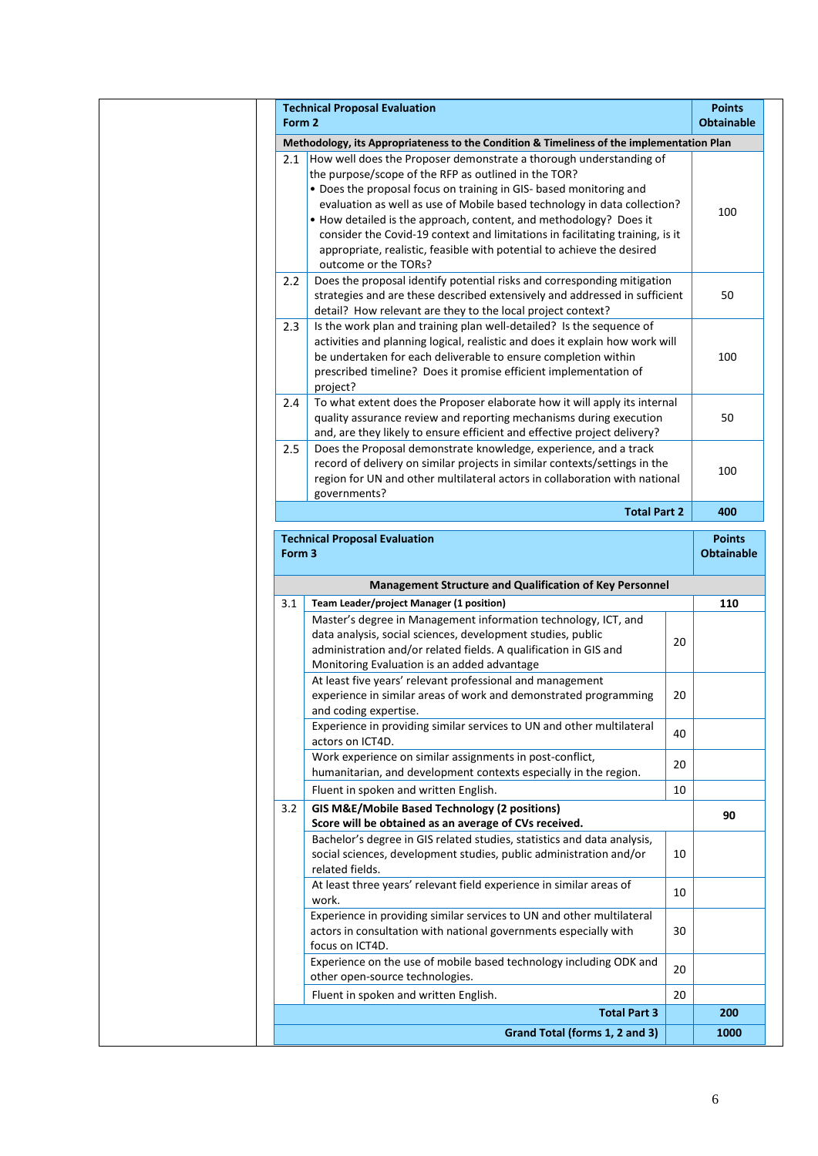| Form 2 | <b>Technical Proposal Evaluation</b>                                                                                         |    | <b>Points</b><br><b>Obtainable</b> |
|--------|------------------------------------------------------------------------------------------------------------------------------|----|------------------------------------|
|        | Methodology, its Appropriateness to the Condition & Timeliness of the implementation Plan                                    |    |                                    |
| 2.1    | How well does the Proposer demonstrate a thorough understanding of                                                           |    |                                    |
|        | the purpose/scope of the RFP as outlined in the TOR?                                                                         |    |                                    |
|        | • Does the proposal focus on training in GIS- based monitoring and                                                           |    |                                    |
|        | evaluation as well as use of Mobile based technology in data collection?                                                     |    | 100                                |
|        | • How detailed is the approach, content, and methodology? Does it                                                            |    |                                    |
|        | consider the Covid-19 context and limitations in facilitating training, is it                                                |    |                                    |
|        | appropriate, realistic, feasible with potential to achieve the desired                                                       |    |                                    |
|        | outcome or the TORs?                                                                                                         |    |                                    |
| 2.2    | Does the proposal identify potential risks and corresponding mitigation                                                      |    |                                    |
|        | strategies and are these described extensively and addressed in sufficient                                                   |    | 50                                 |
|        | detail? How relevant are they to the local project context?                                                                  |    |                                    |
| 2.3    | Is the work plan and training plan well-detailed? Is the sequence of                                                         |    |                                    |
|        | activities and planning logical, realistic and does it explain how work will                                                 |    |                                    |
|        | be undertaken for each deliverable to ensure completion within                                                               |    | 100                                |
|        | prescribed timeline? Does it promise efficient implementation of                                                             |    |                                    |
|        | project?                                                                                                                     |    |                                    |
| 2.4    | To what extent does the Proposer elaborate how it will apply its internal                                                    |    |                                    |
|        | quality assurance review and reporting mechanisms during execution                                                           |    | 50                                 |
|        | and, are they likely to ensure efficient and effective project delivery?                                                     |    |                                    |
| 2.5    | Does the Proposal demonstrate knowledge, experience, and a track                                                             |    |                                    |
|        | record of delivery on similar projects in similar contexts/settings in the                                                   |    | 100                                |
|        | region for UN and other multilateral actors in collaboration with national<br>governments?                                   |    |                                    |
|        |                                                                                                                              |    |                                    |
|        | <b>Total Part 2</b>                                                                                                          |    | 400                                |
|        | <b>Technical Proposal Evaluation</b>                                                                                         |    | <b>Points</b>                      |
|        |                                                                                                                              |    |                                    |
| Form 3 |                                                                                                                              |    | <b>Obtainable</b>                  |
|        |                                                                                                                              |    |                                    |
|        | Management Structure and Qualification of Key Personnel                                                                      |    |                                    |
|        | Team Leader/project Manager (1 position)                                                                                     |    | 110                                |
|        | Master's degree in Management information technology, ICT, and                                                               |    |                                    |
|        | data analysis, social sciences, development studies, public                                                                  | 20 |                                    |
|        | administration and/or related fields. A qualification in GIS and                                                             |    |                                    |
|        | Monitoring Evaluation is an added advantage                                                                                  |    |                                    |
|        | At least five years' relevant professional and management                                                                    |    |                                    |
|        | experience in similar areas of work and demonstrated programming                                                             | 20 |                                    |
|        | and coding expertise.                                                                                                        |    |                                    |
|        | Experience in providing similar services to UN and other multilateral                                                        | 40 |                                    |
|        | actors on ICT4D.                                                                                                             |    |                                    |
|        | Work experience on similar assignments in post-conflict,<br>humanitarian, and development contexts especially in the region. | 20 |                                    |
| 3.1    |                                                                                                                              |    |                                    |
|        | Fluent in spoken and written English.                                                                                        | 10 |                                    |
|        | <b>GIS M&amp;E/Mobile Based Technology (2 positions)</b>                                                                     |    | 90                                 |
|        | Score will be obtained as an average of CVs received.                                                                        |    |                                    |
|        | Bachelor's degree in GIS related studies, statistics and data analysis,                                                      |    |                                    |
|        | social sciences, development studies, public administration and/or                                                           | 10 |                                    |
|        | related fields.                                                                                                              |    |                                    |
|        | At least three years' relevant field experience in similar areas of<br>work.                                                 | 10 |                                    |
|        |                                                                                                                              |    |                                    |
|        | Experience in providing similar services to UN and other multilateral                                                        | 30 |                                    |
|        | actors in consultation with national governments especially with<br>focus on ICT4D.                                          |    |                                    |
|        |                                                                                                                              |    |                                    |
|        | Experience on the use of mobile based technology including ODK and<br>other open-source technologies.                        | 20 |                                    |
|        | Fluent in spoken and written English.                                                                                        | 20 |                                    |
|        | <b>Total Part 3</b>                                                                                                          |    | 200                                |
| 3.2    | Grand Total (forms 1, 2 and 3)                                                                                               |    | 1000                               |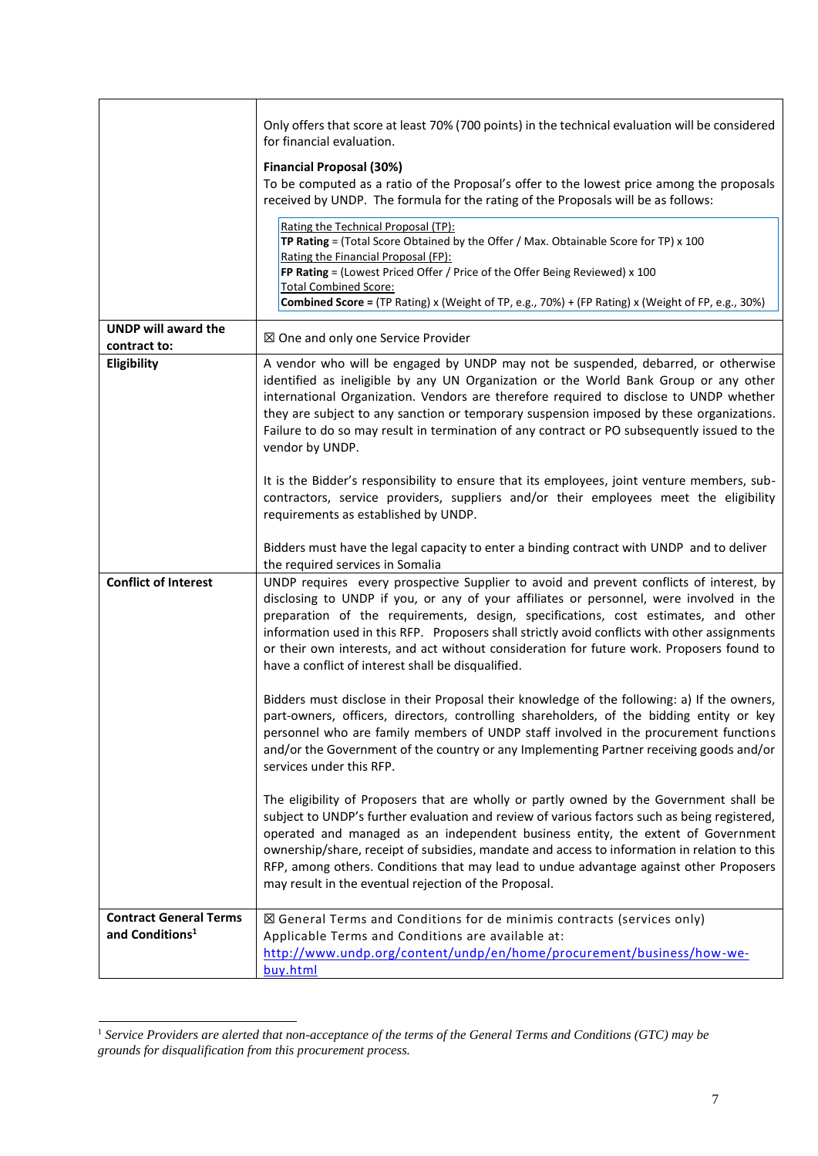|                                                              | Only offers that score at least 70% (700 points) in the technical evaluation will be considered<br>for financial evaluation.                                                                                                                                                                                                                                                                                                                                                                                                   |
|--------------------------------------------------------------|--------------------------------------------------------------------------------------------------------------------------------------------------------------------------------------------------------------------------------------------------------------------------------------------------------------------------------------------------------------------------------------------------------------------------------------------------------------------------------------------------------------------------------|
|                                                              | <b>Financial Proposal (30%)</b><br>To be computed as a ratio of the Proposal's offer to the lowest price among the proposals<br>received by UNDP. The formula for the rating of the Proposals will be as follows:                                                                                                                                                                                                                                                                                                              |
|                                                              | Rating the Technical Proposal (TP):<br>TP Rating = (Total Score Obtained by the Offer / Max. Obtainable Score for TP) $x$ 100<br>Rating the Financial Proposal (FP):<br>FP Rating = (Lowest Priced Offer / Price of the Offer Being Reviewed) x 100<br><b>Total Combined Score:</b><br><b>Combined Score</b> = (TP Rating) x (Weight of TP, e.g., 70%) + (FP Rating) x (Weight of FP, e.g., 30%)                                                                                                                               |
| <b>UNDP will award the</b><br>contract to:                   | ⊠ One and only one Service Provider                                                                                                                                                                                                                                                                                                                                                                                                                                                                                            |
| Eligibility                                                  | A vendor who will be engaged by UNDP may not be suspended, debarred, or otherwise<br>identified as ineligible by any UN Organization or the World Bank Group or any other<br>international Organization. Vendors are therefore required to disclose to UNDP whether<br>they are subject to any sanction or temporary suspension imposed by these organizations.<br>Failure to do so may result in termination of any contract or PO subsequently issued to the<br>vendor by UNDP.                                              |
|                                                              | It is the Bidder's responsibility to ensure that its employees, joint venture members, sub-<br>contractors, service providers, suppliers and/or their employees meet the eligibility<br>requirements as established by UNDP.                                                                                                                                                                                                                                                                                                   |
|                                                              | Bidders must have the legal capacity to enter a binding contract with UNDP and to deliver<br>the required services in Somalia                                                                                                                                                                                                                                                                                                                                                                                                  |
| <b>Conflict of Interest</b>                                  | UNDP requires every prospective Supplier to avoid and prevent conflicts of interest, by<br>disclosing to UNDP if you, or any of your affiliates or personnel, were involved in the<br>preparation of the requirements, design, specifications, cost estimates, and other<br>information used in this RFP. Proposers shall strictly avoid conflicts with other assignments<br>or their own interests, and act without consideration for future work. Proposers found to<br>have a conflict of interest shall be disqualified.   |
|                                                              | Bidders must disclose in their Proposal their knowledge of the following: a) If the owners,<br>part-owners, officers, directors, controlling shareholders, of the bidding entity or key<br>personnel who are family members of UNDP staff involved in the procurement functions<br>and/or the Government of the country or any Implementing Partner receiving goods and/or<br>services under this RFP.                                                                                                                         |
|                                                              | The eligibility of Proposers that are wholly or partly owned by the Government shall be<br>subject to UNDP's further evaluation and review of various factors such as being registered,<br>operated and managed as an independent business entity, the extent of Government<br>ownership/share, receipt of subsidies, mandate and access to information in relation to this<br>RFP, among others. Conditions that may lead to undue advantage against other Proposers<br>may result in the eventual rejection of the Proposal. |
| <b>Contract General Terms</b><br>and Conditions <sup>1</sup> | $\boxtimes$ General Terms and Conditions for de minimis contracts (services only)<br>Applicable Terms and Conditions are available at:<br>http://www.undp.org/content/undp/en/home/procurement/business/how-we-<br>buy.html                                                                                                                                                                                                                                                                                                    |

<sup>1</sup> *Service Providers are alerted that non-acceptance of the terms of the General Terms and Conditions (GTC) may be grounds for disqualification from this procurement process.*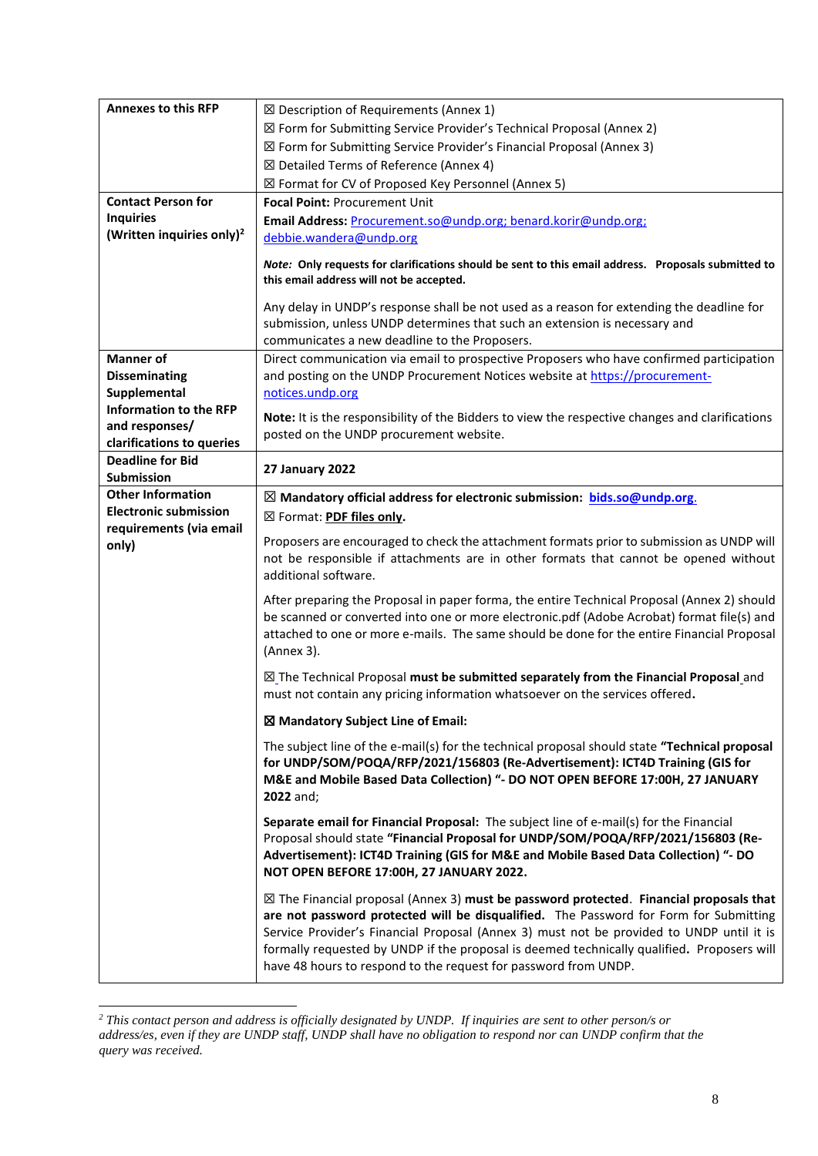| <b>Annexes to this RFP</b>                           | $\boxtimes$ Description of Requirements (Annex 1)                                                                                                                                                                                                                                                                                                                                                                                                       |
|------------------------------------------------------|---------------------------------------------------------------------------------------------------------------------------------------------------------------------------------------------------------------------------------------------------------------------------------------------------------------------------------------------------------------------------------------------------------------------------------------------------------|
|                                                      | ⊠ Form for Submitting Service Provider's Technical Proposal (Annex 2)                                                                                                                                                                                                                                                                                                                                                                                   |
|                                                      | ⊠ Form for Submitting Service Provider's Financial Proposal (Annex 3)                                                                                                                                                                                                                                                                                                                                                                                   |
|                                                      | ⊠ Detailed Terms of Reference (Annex 4)                                                                                                                                                                                                                                                                                                                                                                                                                 |
|                                                      | ⊠ Format for CV of Proposed Key Personnel (Annex 5)                                                                                                                                                                                                                                                                                                                                                                                                     |
| <b>Contact Person for</b>                            | Focal Point: Procurement Unit                                                                                                                                                                                                                                                                                                                                                                                                                           |
| <b>Inquiries</b>                                     | Email Address: Procurement.so@undp.org; benard.korir@undp.org;                                                                                                                                                                                                                                                                                                                                                                                          |
| (Written inquiries only) <sup>2</sup>                | debbie.wandera@undp.org                                                                                                                                                                                                                                                                                                                                                                                                                                 |
|                                                      |                                                                                                                                                                                                                                                                                                                                                                                                                                                         |
|                                                      | Note: Only requests for clarifications should be sent to this email address. Proposals submitted to<br>this email address will not be accepted.                                                                                                                                                                                                                                                                                                         |
|                                                      |                                                                                                                                                                                                                                                                                                                                                                                                                                                         |
|                                                      | Any delay in UNDP's response shall be not used as a reason for extending the deadline for                                                                                                                                                                                                                                                                                                                                                               |
|                                                      | submission, unless UNDP determines that such an extension is necessary and                                                                                                                                                                                                                                                                                                                                                                              |
|                                                      | communicates a new deadline to the Proposers.                                                                                                                                                                                                                                                                                                                                                                                                           |
| <b>Manner</b> of                                     | Direct communication via email to prospective Proposers who have confirmed participation                                                                                                                                                                                                                                                                                                                                                                |
| <b>Disseminating</b>                                 | and posting on the UNDP Procurement Notices website at https://procurement-                                                                                                                                                                                                                                                                                                                                                                             |
| Supplemental                                         | notices.undp.org                                                                                                                                                                                                                                                                                                                                                                                                                                        |
| <b>Information to the RFP</b>                        | Note: It is the responsibility of the Bidders to view the respective changes and clarifications                                                                                                                                                                                                                                                                                                                                                         |
| and responses/                                       | posted on the UNDP procurement website.                                                                                                                                                                                                                                                                                                                                                                                                                 |
| clarifications to queries<br><b>Deadline for Bid</b> |                                                                                                                                                                                                                                                                                                                                                                                                                                                         |
| Submission                                           | 27 January 2022                                                                                                                                                                                                                                                                                                                                                                                                                                         |
| <b>Other Information</b>                             | $\boxtimes$ Mandatory official address for electronic submission: bids.so@undp.org.                                                                                                                                                                                                                                                                                                                                                                     |
| <b>Electronic submission</b>                         | ⊠ Format: PDF files only.                                                                                                                                                                                                                                                                                                                                                                                                                               |
| requirements (via email                              |                                                                                                                                                                                                                                                                                                                                                                                                                                                         |
| only)                                                | Proposers are encouraged to check the attachment formats prior to submission as UNDP will<br>not be responsible if attachments are in other formats that cannot be opened without<br>additional software.                                                                                                                                                                                                                                               |
|                                                      | After preparing the Proposal in paper forma, the entire Technical Proposal (Annex 2) should<br>be scanned or converted into one or more electronic.pdf (Adobe Acrobat) format file(s) and<br>attached to one or more e-mails. The same should be done for the entire Financial Proposal<br>(Annex 3).                                                                                                                                                   |
|                                                      | $\boxtimes$ The Technical Proposal must be submitted separately from the Financial Proposal and<br>must not contain any pricing information whatsoever on the services offered.                                                                                                                                                                                                                                                                         |
|                                                      | ⊠ Mandatory Subject Line of Email:                                                                                                                                                                                                                                                                                                                                                                                                                      |
|                                                      | The subject line of the e-mail(s) for the technical proposal should state "Technical proposal<br>for UNDP/SOM/POQA/RFP/2021/156803 (Re-Advertisement): ICT4D Training (GIS for<br>M&E and Mobile Based Data Collection) "- DO NOT OPEN BEFORE 17:00H, 27 JANUARY<br>2022 and;                                                                                                                                                                           |
|                                                      | Separate email for Financial Proposal: The subject line of e-mail(s) for the Financial<br>Proposal should state "Financial Proposal for UNDP/SOM/POQA/RFP/2021/156803 (Re-<br>Advertisement): ICT4D Training (GIS for M&E and Mobile Based Data Collection) "- DO<br>NOT OPEN BEFORE 17:00H, 27 JANUARY 2022.                                                                                                                                           |
|                                                      | $\boxtimes$ The Financial proposal (Annex 3) must be password protected. Financial proposals that<br>are not password protected will be disqualified. The Password for Form for Submitting<br>Service Provider's Financial Proposal (Annex 3) must not be provided to UNDP until it is<br>formally requested by UNDP if the proposal is deemed technically qualified. Proposers will<br>have 48 hours to respond to the request for password from UNDP. |

*<sup>2</sup> This contact person and address is officially designated by UNDP. If inquiries are sent to other person/s or address/es, even if they are UNDP staff, UNDP shall have no obligation to respond nor can UNDP confirm that the query was received.*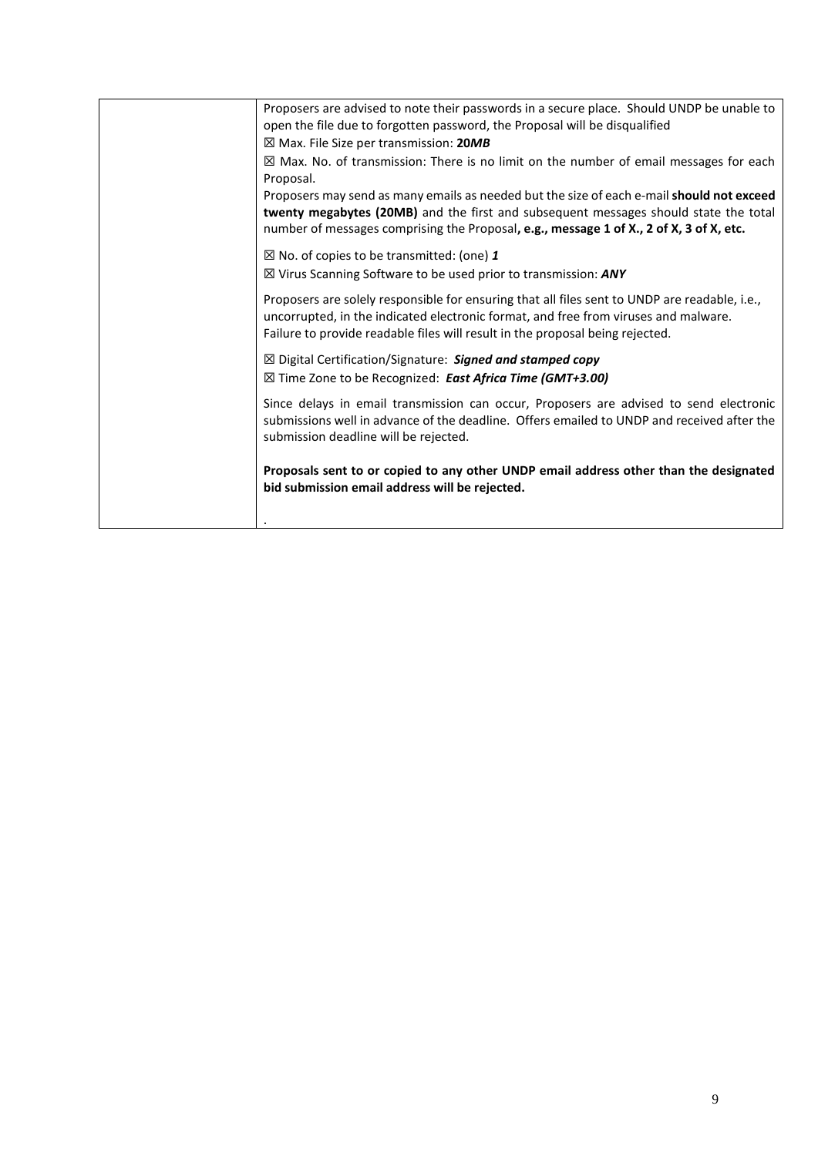| Proposers are advised to note their passwords in a secure place. Should UNDP be unable to<br>open the file due to forgotten password, the Proposal will be disqualified                                                                                                      |
|------------------------------------------------------------------------------------------------------------------------------------------------------------------------------------------------------------------------------------------------------------------------------|
| ⊠ Max. File Size per transmission: 20MB                                                                                                                                                                                                                                      |
| $\boxtimes$ Max. No. of transmission: There is no limit on the number of email messages for each<br>Proposal.                                                                                                                                                                |
| Proposers may send as many emails as needed but the size of each e-mail should not exceed<br>twenty megabytes (20MB) and the first and subsequent messages should state the total<br>number of messages comprising the Proposal, e.g., message 1 of X., 2 of X, 3 of X, etc. |
| $\boxtimes$ No. of copies to be transmitted: (one) 1                                                                                                                                                                                                                         |
| $\boxtimes$ Virus Scanning Software to be used prior to transmission: ANY                                                                                                                                                                                                    |
| Proposers are solely responsible for ensuring that all files sent to UNDP are readable, i.e.,<br>uncorrupted, in the indicated electronic format, and free from viruses and malware.<br>Failure to provide readable files will result in the proposal being rejected.        |
| ⊠ Digital Certification/Signature: Signed and stamped copy<br>⊠ Time Zone to be Recognized: East Africa Time (GMT+3.00)                                                                                                                                                      |
| Since delays in email transmission can occur, Proposers are advised to send electronic<br>submissions well in advance of the deadline. Offers emailed to UNDP and received after the<br>submission deadline will be rejected.                                                |
| Proposals sent to or copied to any other UNDP email address other than the designated<br>bid submission email address will be rejected.                                                                                                                                      |
|                                                                                                                                                                                                                                                                              |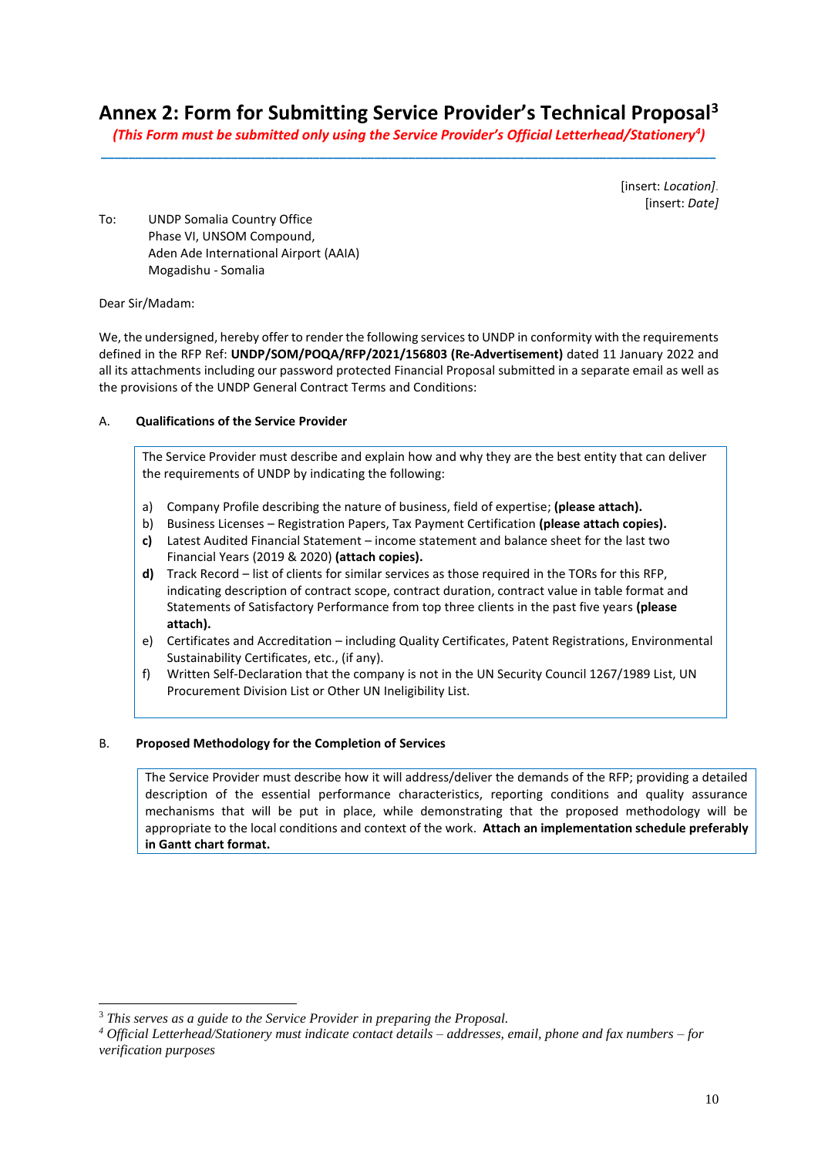# **Annex 2: Form for Submitting Service Provider's Technical Proposal<sup>3</sup>**

*(This Form must be submitted only using the Service Provider's Official Letterhead/Stationery<sup>4</sup> )* **\_\_\_\_\_\_\_\_\_\_\_\_\_\_\_\_\_\_\_\_\_\_\_\_\_\_\_\_\_\_\_\_\_\_\_\_\_\_\_\_\_\_\_\_\_\_\_\_\_\_\_\_\_\_\_\_\_\_\_\_\_\_\_\_\_\_\_\_\_\_\_\_\_\_\_\_\_\_\_\_\_\_\_\_\_\_\_\_\_\_**

> [insert: *Location]*. [insert: *Date]*

To: UNDP Somalia Country Office Phase VI, UNSOM Compound, Aden Ade International Airport (AAIA) Mogadishu - Somalia

Dear Sir/Madam:

We, the undersigned, hereby offer to render the following services to UNDP in conformity with the requirements defined in the RFP Ref: **UNDP/SOM/POQA/RFP/2021/156803 (Re-Advertisement)** dated 11 January 2022 and all its attachments including our password protected Financial Proposal submitted in a separate email as well as the provisions of the UNDP General Contract Terms and Conditions:

# A. **Qualifications of the Service Provider**

The Service Provider must describe and explain how and why they are the best entity that can deliver the requirements of UNDP by indicating the following:

- a) Company Profile describing the nature of business, field of expertise; **(please attach).**
- b) Business Licenses Registration Papers, Tax Payment Certification **(please attach copies).**
- **c)** Latest Audited Financial Statement income statement and balance sheet for the last two Financial Years (2019 & 2020) **(attach copies).**
- **d)** Track Record list of clients for similar services as those required in the TORs for this RFP, indicating description of contract scope, contract duration, contract value in table format and Statements of Satisfactory Performance from top three clients in the past five years **(please attach).**
- e) Certificates and Accreditation including Quality Certificates, Patent Registrations, Environmental Sustainability Certificates, etc., (if any).
- f) Written Self-Declaration that the company is not in the UN Security Council 1267/1989 List, UN Procurement Division List or Other UN Ineligibility List.

# B. **Proposed Methodology for the Completion of Services**

The Service Provider must describe how it will address/deliver the demands of the RFP; providing a detailed description of the essential performance characteristics, reporting conditions and quality assurance mechanisms that will be put in place, while demonstrating that the proposed methodology will be appropriate to the local conditions and context of the work. **Attach an implementation schedule preferably in Gantt chart format.**

<sup>3</sup> *This serves as a guide to the Service Provider in preparing the Proposal.* 

*<sup>4</sup> Official Letterhead/Stationery must indicate contact details – addresses, email, phone and fax numbers – for verification purposes*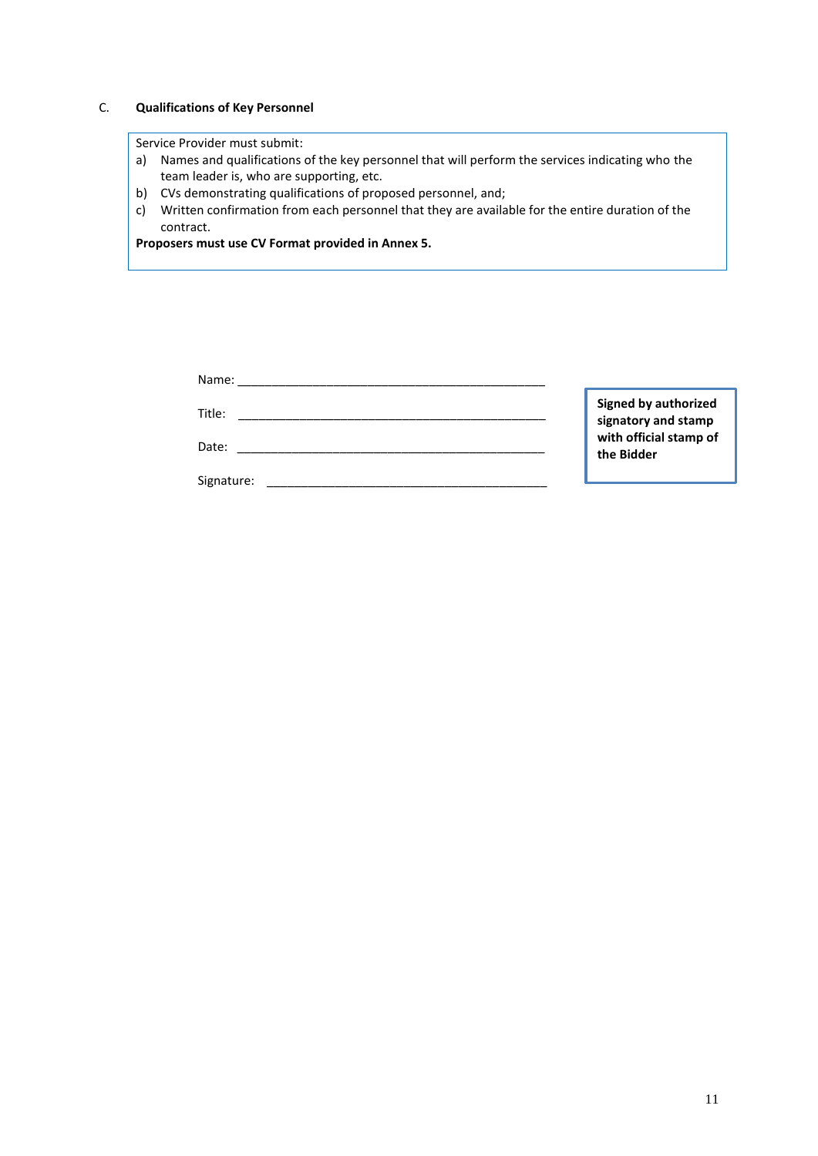# C. **Qualifications of Key Personnel**

# Service Provider must submit:

- a) Names and qualifications of the key personnel that will perform the services indicating who the team leader is, who are supporting, etc.
- b) CVs demonstrating qualifications of proposed personnel, and;
- c) Written confirmation from each personnel that they are available for the entire duration of the contract.

**Proposers must use CV Format provided in Annex 5.**

| Name:      |                                                    |
|------------|----------------------------------------------------|
| Title:     | <b>Signed by authorized</b><br>signatory and stamp |
| Date:      | with official stamp of<br>the Bidder               |
| Signature: |                                                    |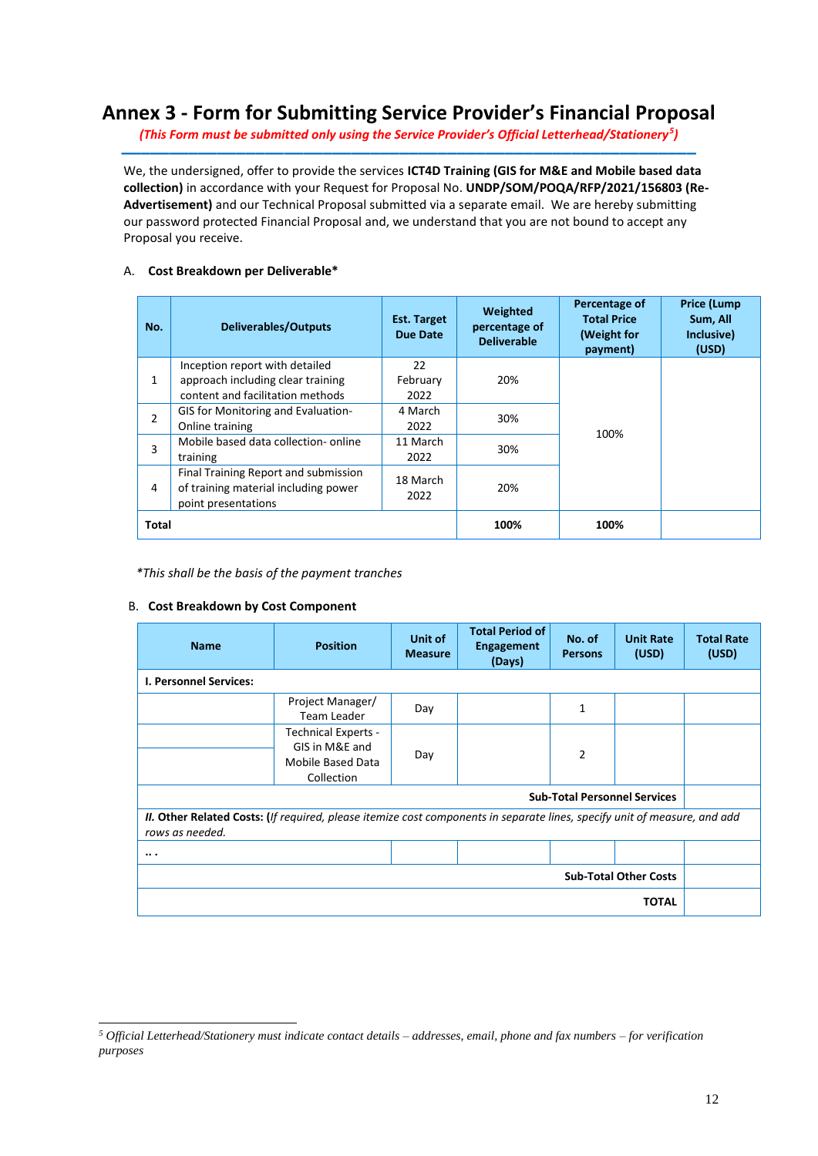# **Annex 3 - Form for Submitting Service Provider's Financial Proposal**

*(This Form must be submitted only using the Service Provider's Official Letterhead/Stationery<sup>5</sup> )* **\_\_\_\_\_\_\_\_\_\_\_\_\_\_\_\_\_\_\_\_\_\_\_\_\_\_\_\_\_\_\_\_\_\_\_\_\_\_\_\_\_\_\_\_\_\_\_\_\_\_\_\_\_\_\_\_\_\_\_\_**

We, the undersigned, offer to provide the services **ICT4D Training (GIS for M&E and Mobile based data collection)** in accordance with your Request for Proposal No. **UNDP/SOM/POQA/RFP/2021/156803 (Re-Advertisement)** and our Technical Proposal submitted via a separate email. We are hereby submitting our password protected Financial Proposal and, we understand that you are not bound to accept any Proposal you receive.

# A. **Cost Breakdown per Deliverable\***

| No.            | <b>Deliverables/Outputs</b>               | <b>Est. Target</b><br>Due Date | Weighted<br>percentage of<br><b>Deliverable</b> | Percentage of<br><b>Total Price</b><br>(Weight for<br>payment) | <b>Price (Lump</b><br>Sum, All<br>Inclusive)<br>(USD) |
|----------------|-------------------------------------------|--------------------------------|-------------------------------------------------|----------------------------------------------------------------|-------------------------------------------------------|
|                | Inception report with detailed            | 22                             |                                                 |                                                                |                                                       |
| $\mathbf{1}$   | approach including clear training         | February                       | 20%                                             |                                                                |                                                       |
|                | content and facilitation methods          | 2022                           |                                                 |                                                                |                                                       |
| $\overline{2}$ | <b>GIS for Monitoring and Evaluation-</b> | 4 March                        | 30%                                             |                                                                |                                                       |
|                | Online training                           | 2022                           |                                                 | 100%                                                           |                                                       |
| 3              | Mobile based data collection-online       | 11 March                       | 30%                                             |                                                                |                                                       |
|                | training                                  | 2022                           |                                                 |                                                                |                                                       |
|                | Final Training Report and submission      | 18 March                       |                                                 |                                                                |                                                       |
| 4              | of training material including power      |                                | 20%                                             |                                                                |                                                       |
|                | point presentations                       | 2022                           |                                                 |                                                                |                                                       |
| <b>Total</b>   |                                           |                                | 100%                                            | 100%                                                           |                                                       |

*\*This shall be the basis of the payment tranches*

# B. **Cost Breakdown by Cost Component**

| <b>Name</b>                                                                                                                                         | <b>Position</b>                                                                 | Unit of<br><b>Measure</b> | <b>Total Period of</b><br><b>Engagement</b><br>(Days) | No. of<br><b>Persons</b> | <b>Unit Rate</b><br>(USD)    | <b>Total Rate</b><br>(USD) |
|-----------------------------------------------------------------------------------------------------------------------------------------------------|---------------------------------------------------------------------------------|---------------------------|-------------------------------------------------------|--------------------------|------------------------------|----------------------------|
| <b>I. Personnel Services:</b>                                                                                                                       |                                                                                 |                           |                                                       |                          |                              |                            |
|                                                                                                                                                     | Project Manager/<br>Team Leader                                                 | Day                       |                                                       | 1                        |                              |                            |
|                                                                                                                                                     | <b>Technical Experts -</b><br>GIS in M&E and<br>Mobile Based Data<br>Collection | Day                       |                                                       | $\overline{2}$           |                              |                            |
| <b>Sub-Total Personnel Services</b>                                                                                                                 |                                                                                 |                           |                                                       |                          |                              |                            |
| <b>II. Other Related Costs:</b> (If required, please itemize cost components in separate lines, specify unit of measure, and add<br>rows as needed. |                                                                                 |                           |                                                       |                          |                              |                            |
| .                                                                                                                                                   |                                                                                 |                           |                                                       |                          |                              |                            |
|                                                                                                                                                     |                                                                                 |                           |                                                       |                          | <b>Sub-Total Other Costs</b> |                            |
| <b>TOTAL</b>                                                                                                                                        |                                                                                 |                           |                                                       |                          |                              |                            |

*<sup>5</sup> Official Letterhead/Stationery must indicate contact details – addresses, email, phone and fax numbers – for verification purposes*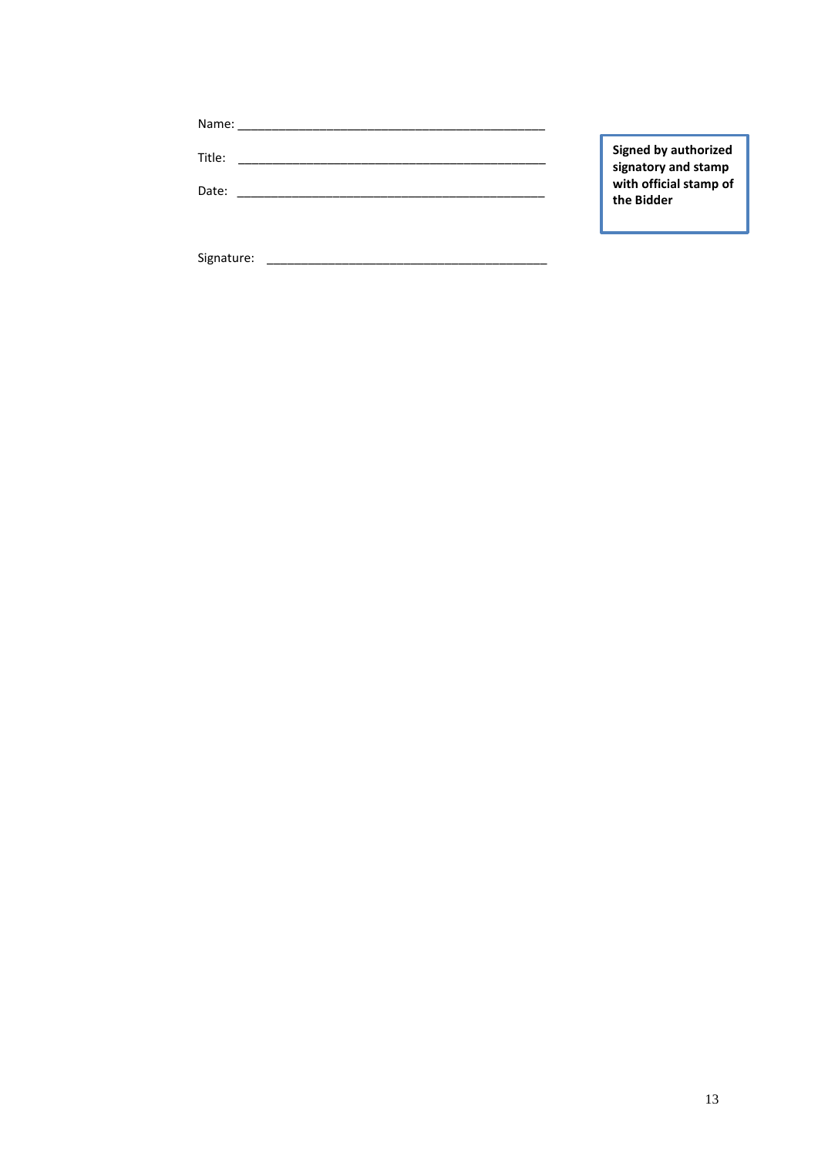| Name:           |                                                                                     |
|-----------------|-------------------------------------------------------------------------------------|
| Title:<br>Date: | Signed by authorized<br>signatory and stamp<br>with official stamp of<br>the Bidder |
|                 |                                                                                     |

 $Signature: \n\frac{1}{2}$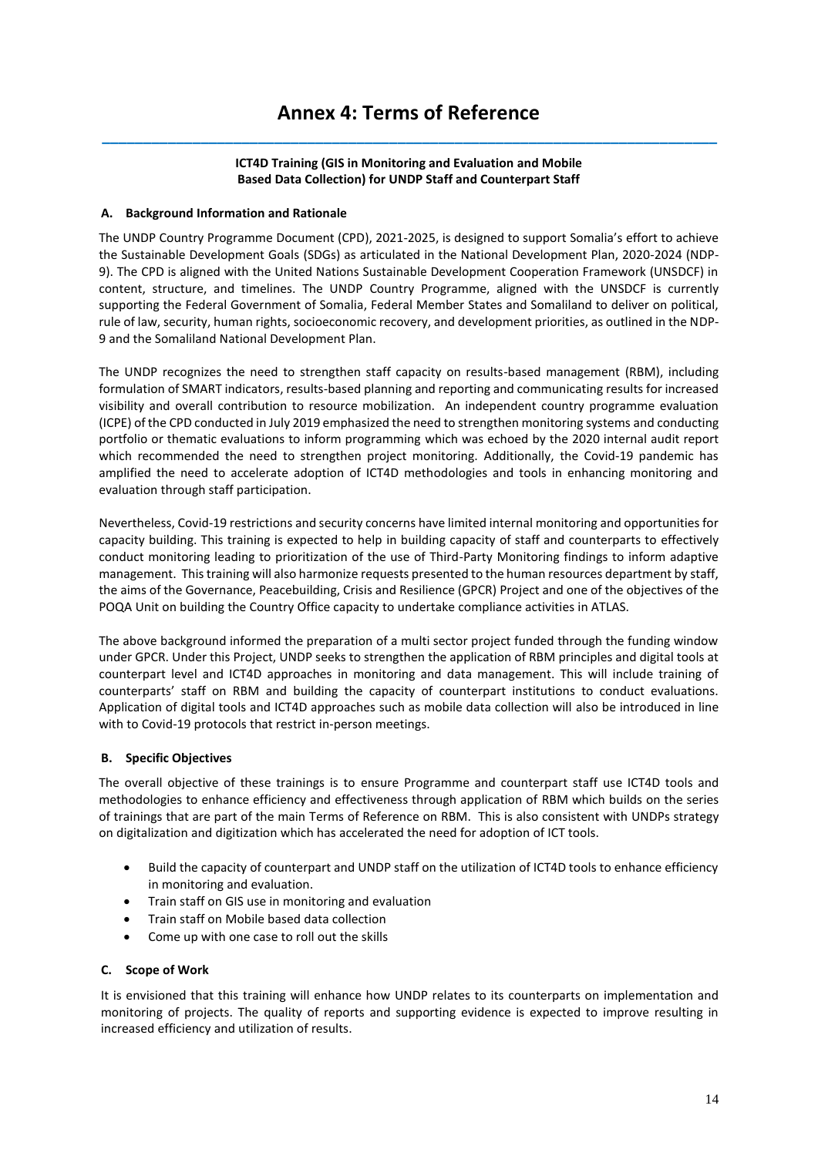# **Annex 4: Terms of Reference \_\_\_\_\_\_\_\_\_\_\_\_\_\_\_\_\_\_\_\_\_\_\_\_\_\_\_\_\_\_\_\_\_\_\_\_\_\_\_\_\_\_\_\_\_\_\_\_\_\_\_\_\_\_\_\_\_\_\_\_\_\_\_\_\_\_\_\_\_\_\_\_\_\_\_**

# **ICT4D Training (GIS in Monitoring and Evaluation and Mobile Based Data Collection) for UNDP Staff and Counterpart Staff**

# **A. Background Information and Rationale**

The UNDP Country Programme Document (CPD), 2021-2025, is designed to support Somalia's effort to achieve the Sustainable Development Goals (SDGs) as articulated in the National Development Plan, 2020-2024 (NDP-9). The CPD is aligned with the United Nations Sustainable Development Cooperation Framework (UNSDCF) in content, structure, and timelines. The UNDP Country Programme, aligned with the UNSDCF is currently supporting the Federal Government of Somalia, Federal Member States and Somaliland to deliver on political, rule of law, security, human rights, socioeconomic recovery, and development priorities, as outlined in the NDP-9 and the Somaliland National Development Plan.

The UNDP recognizes the need to strengthen staff capacity on results-based management (RBM), including formulation of SMART indicators, results-based planning and reporting and communicating results for increased visibility and overall contribution to resource mobilization. An independent country programme evaluation (ICPE) of the CPD conducted in July 2019 emphasized the need to strengthen monitoring systems and conducting portfolio or thematic evaluations to inform programming which was echoed by the 2020 internal audit report which recommended the need to strengthen project monitoring. Additionally, the Covid-19 pandemic has amplified the need to accelerate adoption of ICT4D methodologies and tools in enhancing monitoring and evaluation through staff participation.

Nevertheless, Covid-19 restrictions and security concerns have limited internal monitoring and opportunities for capacity building. This training is expected to help in building capacity of staff and counterparts to effectively conduct monitoring leading to prioritization of the use of Third-Party Monitoring findings to inform adaptive management. This training will also harmonize requests presented to the human resources department by staff, the aims of the Governance, Peacebuilding, Crisis and Resilience (GPCR) Project and one of the objectives of the POQA Unit on building the Country Office capacity to undertake compliance activities in ATLAS.

The above background informed the preparation of a multi sector project funded through the funding window under GPCR. Under this Project, UNDP seeks to strengthen the application of RBM principles and digital tools at counterpart level and ICT4D approaches in monitoring and data management. This will include training of counterparts' staff on RBM and building the capacity of counterpart institutions to conduct evaluations. Application of digital tools and ICT4D approaches such as mobile data collection will also be introduced in line with to Covid-19 protocols that restrict in-person meetings.

# **B. Specific Objectives**

The overall objective of these trainings is to ensure Programme and counterpart staff use ICT4D tools and methodologies to enhance efficiency and effectiveness through application of RBM which builds on the series of trainings that are part of the main Terms of Reference on RBM. This is also consistent with UNDPs strategy on digitalization and digitization which has accelerated the need for adoption of ICT tools.

- Build the capacity of counterpart and UNDP staff on the utilization of ICT4D tools to enhance efficiency in monitoring and evaluation.
- Train staff on GIS use in monitoring and evaluation
- Train staff on Mobile based data collection
- Come up with one case to roll out the skills

# **C. Scope of Work**

It is envisioned that this training will enhance how UNDP relates to its counterparts on implementation and monitoring of projects. The quality of reports and supporting evidence is expected to improve resulting in increased efficiency and utilization of results.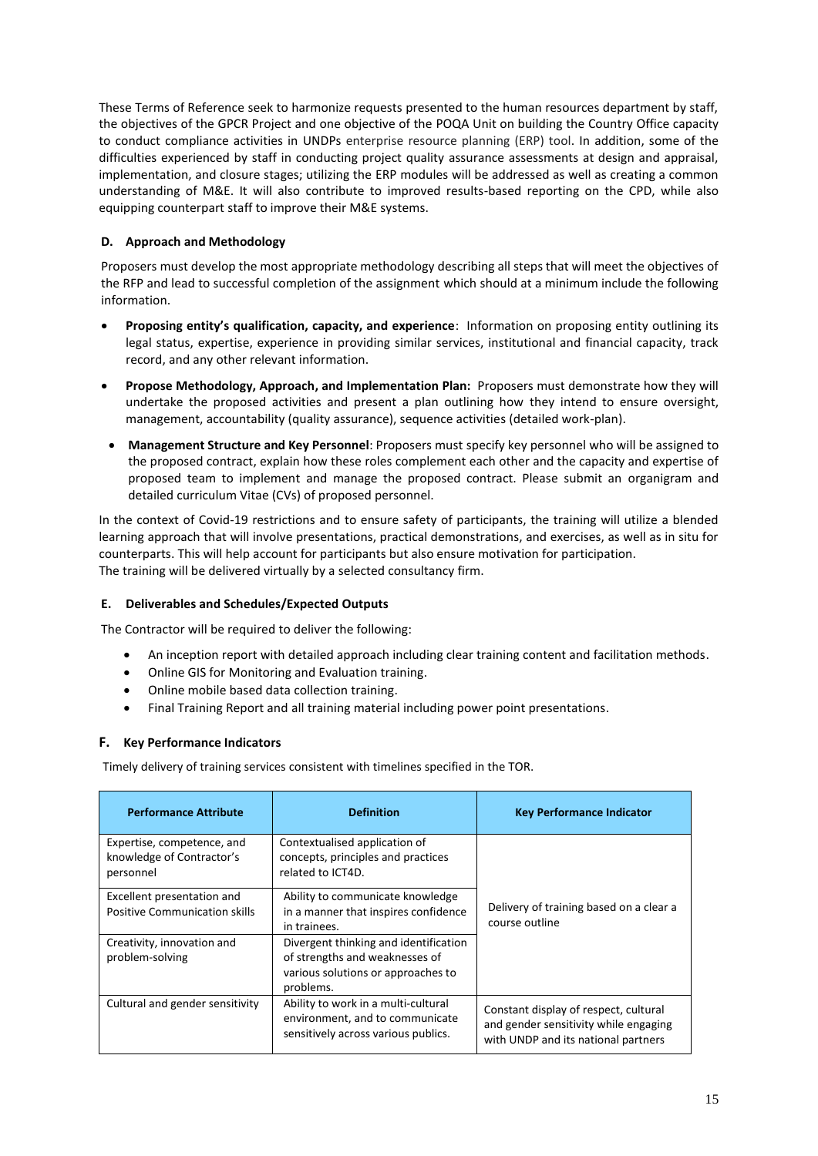These Terms of Reference seek to harmonize requests presented to the human resources department by staff, the objectives of the GPCR Project and one objective of the POQA Unit on building the Country Office capacity to conduct compliance activities in UNDPs enterprise resource planning (ERP) tool. In addition, some of the difficulties experienced by staff in conducting project quality assurance assessments at design and appraisal, implementation, and closure stages; utilizing the ERP modules will be addressed as well as creating a common understanding of M&E. It will also contribute to improved results-based reporting on the CPD, while also equipping counterpart staff to improve their M&E systems.

# **D. Approach and Methodology**

Proposers must develop the most appropriate methodology describing all steps that will meet the objectives of the RFP and lead to successful completion of the assignment which should at a minimum include the following information.

- **Proposing entity's qualification, capacity, and experience**: Information on proposing entity outlining its legal status, expertise, experience in providing similar services, institutional and financial capacity, track record, and any other relevant information.
- **Propose Methodology, Approach, and Implementation Plan:** Proposers must demonstrate how they will undertake the proposed activities and present a plan outlining how they intend to ensure oversight, management, accountability (quality assurance), sequence activities (detailed work-plan).
- **Management Structure and Key Personnel**: Proposers must specify key personnel who will be assigned to the proposed contract, explain how these roles complement each other and the capacity and expertise of proposed team to implement and manage the proposed contract. Please submit an organigram and detailed curriculum Vitae (CVs) of proposed personnel.

In the context of Covid-19 restrictions and to ensure safety of participants, the training will utilize a blended learning approach that will involve presentations, practical demonstrations, and exercises, as well as in situ for counterparts. This will help account for participants but also ensure motivation for participation. The training will be delivered virtually by a selected consultancy firm.

# **E. Deliverables and Schedules/Expected Outputs**

The Contractor will be required to deliver the following:

- An inception report with detailed approach including clear training content and facilitation methods.
- Online GIS for Monitoring and Evaluation training.
- Online mobile based data collection training.
- Final Training Report and all training material including power point presentations.

# **F. Key Performance Indicators**

Timely delivery of training services consistent with timelines specified in the TOR.

| <b>Performance Attribute</b>                                         | <b>Definition</b>                                                                                                          | <b>Key Performance Indicator</b>                                                                                      |  |
|----------------------------------------------------------------------|----------------------------------------------------------------------------------------------------------------------------|-----------------------------------------------------------------------------------------------------------------------|--|
| Expertise, competence, and<br>knowledge of Contractor's<br>personnel | Contextualised application of<br>concepts, principles and practices<br>related to ICT4D.                                   | Delivery of training based on a clear a<br>course outline                                                             |  |
| Excellent presentation and<br><b>Positive Communication skills</b>   | Ability to communicate knowledge<br>in a manner that inspires confidence<br>in trainees.                                   |                                                                                                                       |  |
| Creativity, innovation and<br>problem-solving                        | Divergent thinking and identification<br>of strengths and weaknesses of<br>various solutions or approaches to<br>problems. |                                                                                                                       |  |
| Cultural and gender sensitivity                                      | Ability to work in a multi-cultural<br>environment, and to communicate<br>sensitively across various publics.              | Constant display of respect, cultural<br>and gender sensitivity while engaging<br>with UNDP and its national partners |  |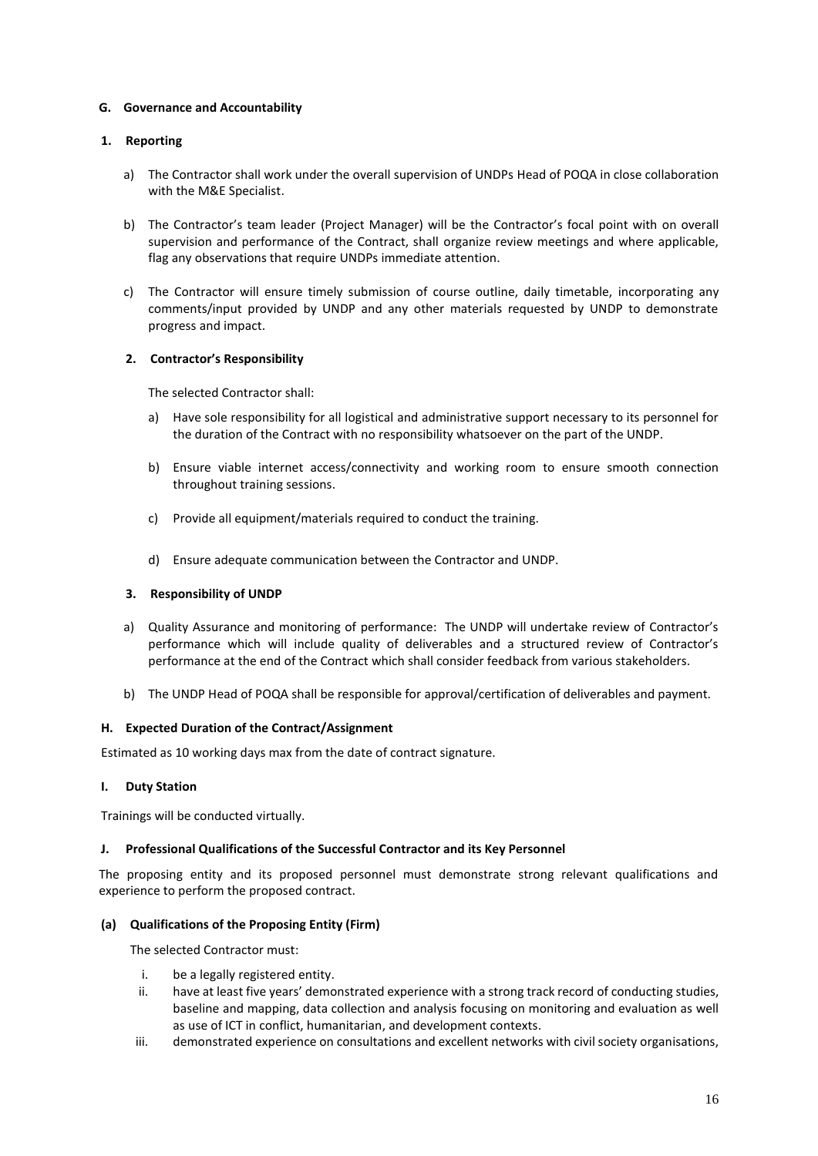# **G. Governance and Accountability**

# **1. Reporting**

- a) The Contractor shall work under the overall supervision of UNDPs Head of POQA in close collaboration with the M&E Specialist.
- b) The Contractor's team leader (Project Manager) will be the Contractor's focal point with on overall supervision and performance of the Contract, shall organize review meetings and where applicable, flag any observations that require UNDPs immediate attention.
- c) The Contractor will ensure timely submission of course outline, daily timetable, incorporating any comments/input provided by UNDP and any other materials requested by UNDP to demonstrate progress and impact.

# **2. Contractor's Responsibility**

The selected Contractor shall:

- a) Have sole responsibility for all logistical and administrative support necessary to its personnel for the duration of the Contract with no responsibility whatsoever on the part of the UNDP.
- b) Ensure viable internet access/connectivity and working room to ensure smooth connection throughout training sessions.
- c) Provide all equipment/materials required to conduct the training.
- d) Ensure adequate communication between the Contractor and UNDP.

# **3. Responsibility of UNDP**

- a) Quality Assurance and monitoring of performance: The UNDP will undertake review of Contractor's performance which will include quality of deliverables and a structured review of Contractor's performance at the end of the Contract which shall consider feedback from various stakeholders.
- b) The UNDP Head of POQA shall be responsible for approval/certification of deliverables and payment.

# **H. Expected Duration of the Contract/Assignment**

Estimated as 10 working days max from the date of contract signature.

# **I. Duty Station**

Trainings will be conducted virtually.

# **J. Professional Qualifications of the Successful Contractor and its Key Personnel**

The proposing entity and its proposed personnel must demonstrate strong relevant qualifications and experience to perform the proposed contract.

# **(a) Qualifications of the Proposing Entity (Firm)**

The selected Contractor must:

- i. be a legally registered entity.
- ii. have at least five years' demonstrated experience with a strong track record of conducting studies, baseline and mapping, data collection and analysis focusing on monitoring and evaluation as well as use of ICT in conflict, humanitarian, and development contexts.
- iii. demonstrated experience on consultations and excellent networks with civil society organisations,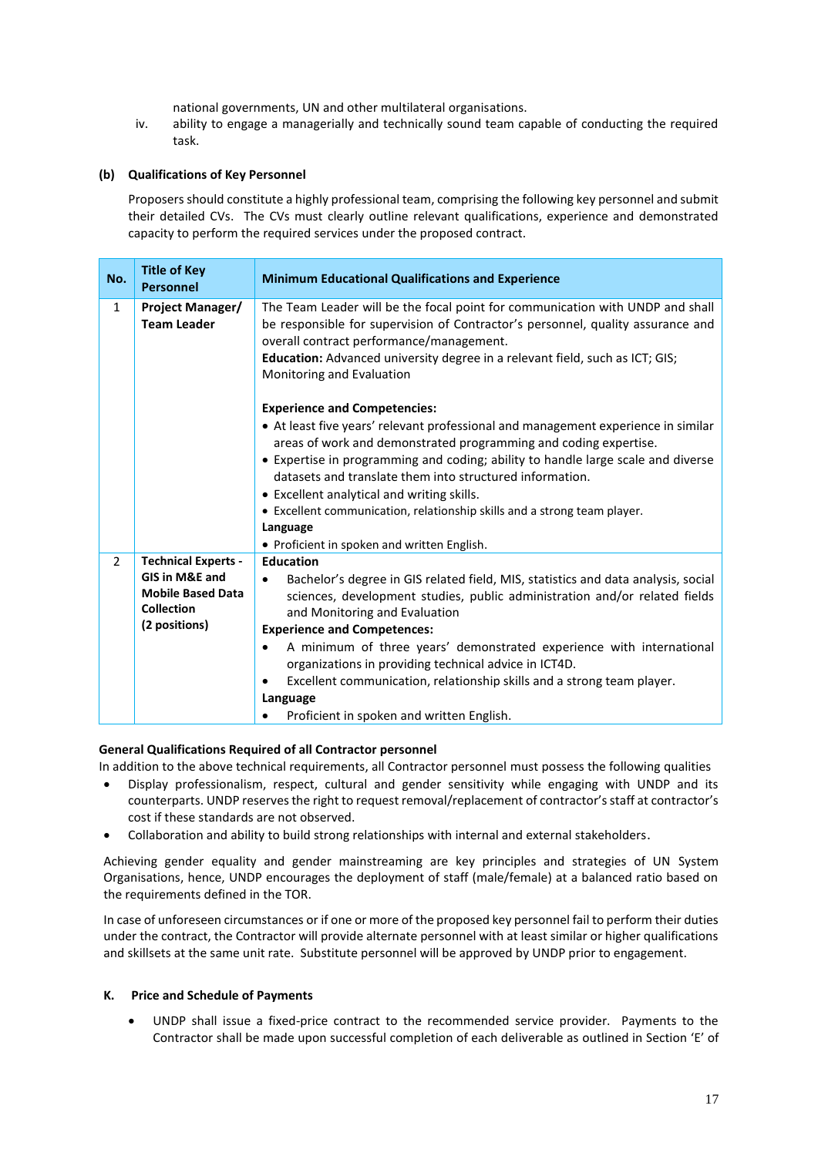national governments, UN and other multilateral organisations.

iv. ability to engage a managerially and technically sound team capable of conducting the required task.

# **(b) Qualifications of Key Personnel**

Proposers should constitute a highly professional team, comprising the following key personnel and submit their detailed CVs. The CVs must clearly outline relevant qualifications, experience and demonstrated capacity to perform the required services under the proposed contract.

| No.            | <b>Title of Key</b><br><b>Personnel</b>                                                                                   | <b>Minimum Educational Qualifications and Experience</b>                                                                                                                                                                                                                                                                                                                                                                                                                                                                                                                                                                                                                                                                                                                                                                                                       |  |
|----------------|---------------------------------------------------------------------------------------------------------------------------|----------------------------------------------------------------------------------------------------------------------------------------------------------------------------------------------------------------------------------------------------------------------------------------------------------------------------------------------------------------------------------------------------------------------------------------------------------------------------------------------------------------------------------------------------------------------------------------------------------------------------------------------------------------------------------------------------------------------------------------------------------------------------------------------------------------------------------------------------------------|--|
| $\mathbf{1}$   | Project Manager/<br><b>Team Leader</b>                                                                                    | The Team Leader will be the focal point for communication with UNDP and shall<br>be responsible for supervision of Contractor's personnel, quality assurance and<br>overall contract performance/management.<br>Education: Advanced university degree in a relevant field, such as ICT; GIS;<br>Monitoring and Evaluation<br><b>Experience and Competencies:</b><br>• At least five years' relevant professional and management experience in similar<br>areas of work and demonstrated programming and coding expertise.<br>• Expertise in programming and coding; ability to handle large scale and diverse<br>datasets and translate them into structured information.<br>• Excellent analytical and writing skills.<br>• Excellent communication, relationship skills and a strong team player.<br>Language<br>• Proficient in spoken and written English. |  |
| $\overline{2}$ | <b>Technical Experts -</b><br><b>GIS in M&amp;E and</b><br><b>Mobile Based Data</b><br><b>Collection</b><br>(2 positions) | <b>Education</b><br>Bachelor's degree in GIS related field, MIS, statistics and data analysis, social<br>٠<br>sciences, development studies, public administration and/or related fields<br>and Monitoring and Evaluation<br><b>Experience and Competences:</b><br>A minimum of three years' demonstrated experience with international<br>$\bullet$<br>organizations in providing technical advice in ICT4D.<br>Excellent communication, relationship skills and a strong team player.<br>Language<br>Proficient in spoken and written English.                                                                                                                                                                                                                                                                                                               |  |

# **General Qualifications Required of all Contractor personnel**

In addition to the above technical requirements, all Contractor personnel must possess the following qualities

- Display professionalism, respect, cultural and gender sensitivity while engaging with UNDP and its counterparts. UNDP reserves the right to request removal/replacement of contractor's staff at contractor's cost if these standards are not observed.
- Collaboration and ability to build strong relationships with internal and external stakeholders.

Achieving gender equality and gender mainstreaming are key principles and strategies of UN System Organisations, hence, UNDP encourages the deployment of staff (male/female) at a balanced ratio based on the requirements defined in the TOR.

In case of unforeseen circumstances or if one or more of the proposed key personnel fail to perform their duties under the contract, the Contractor will provide alternate personnel with at least similar or higher qualifications and skillsets at the same unit rate. Substitute personnel will be approved by UNDP prior to engagement.

# **K. Price and Schedule of Payments**

• UNDP shall issue a fixed-price contract to the recommended service provider. Payments to the Contractor shall be made upon successful completion of each deliverable as outlined in Section 'E' of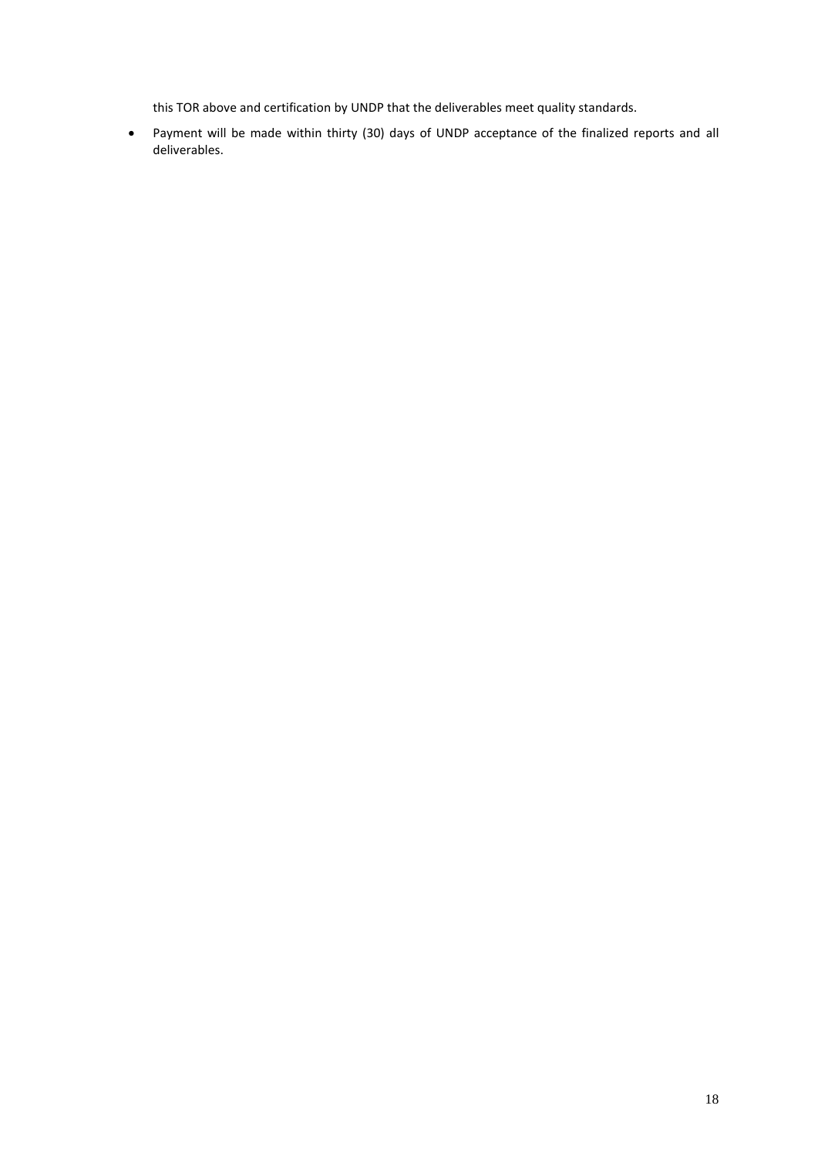this TOR above and certification by UNDP that the deliverables meet quality standards.

• Payment will be made within thirty (30) days of UNDP acceptance of the finalized reports and all deliverables.